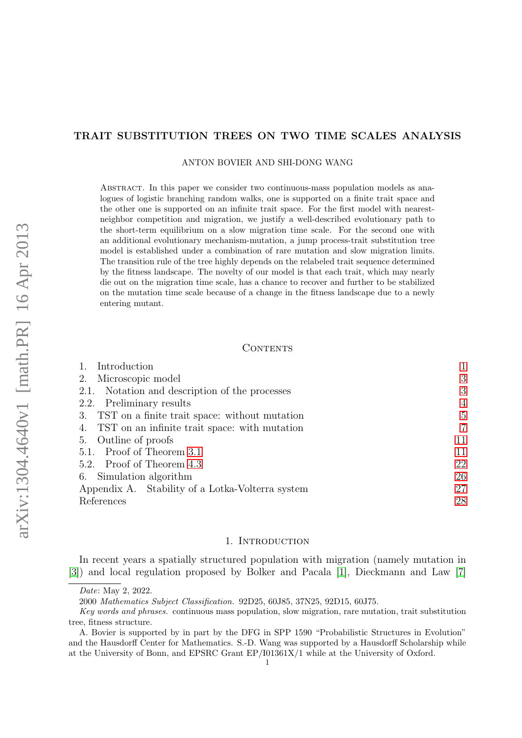# TRAIT SUBSTITUTION TREES ON TWO TIME SCALES ANALYSIS

## ANTON BOVIER AND SHI-DONG WANG

Abstract. In this paper we consider two continuous-mass population models as analogues of logistic branching random walks, one is supported on a finite trait space and the other one is supported on an infinite trait space. For the first model with nearestneighbor competition and migration, we justify a well-described evolutionary path to the short-term equilibrium on a slow migration time scale. For the second one with an additional evolutionary mechanism-mutation, a jump process-trait substitution tree model is established under a combination of rare mutation and slow migration limits. The transition rule of the tree highly depends on the relabeled trait sequence determined by the fitness landscape. The novelty of our model is that each trait, which may nearly die out on the migration time scale, has a chance to recover and further to be stabilized on the mutation time scale because of a change in the fitness landscape due to a newly entering mutant.

## CONTENTS

| Introduction                                        |                |
|-----------------------------------------------------|----------------|
| Microscopic model<br>2.                             | 3              |
| Notation and description of the processes<br>2.1.   | 3              |
| 2.2. Preliminary results                            | $\overline{4}$ |
| 3. TST on a finite trait space: without mutation    | 5              |
| TST on an infinite trait space: with mutation<br>4. | $\overline{7}$ |
| Outline of proofs<br>5.                             | 11             |
| 5.1. Proof of Theorem 3.1                           | 11             |
| 5.2. Proof of Theorem 4.3                           | 22             |
| 6. Simulation algorithm                             | 26             |
| Appendix A. Stability of a Lotka-Volterra system    | 27             |
| References                                          | 28             |

# 1. INTRODUCTION

<span id="page-0-0"></span>In recent years a spatially structured population with migration (namely mutation in [\[3\]](#page-27-1)) and local regulation proposed by Bolker and Pacala [\[1\]](#page-27-2), Dieckmann and Law [\[7\]](#page-27-3)

Date: May 2, 2022.

<sup>2000</sup> Mathematics Subject Classification. 92D25, 60J85, 37N25, 92D15, 60J75.

Key words and phrases. continuous mass population, slow migration, rare mutation, trait substitution tree, fitness structure.

A. Bovier is supported by in part by the DFG in SPP 1590 "Probabilistic Structures in Evolution" and the Hausdorff Center for Mathematics. S.-D. Wang was supported by a Hausdorff Scholarship while at the University of Bonn, and EPSRC Grant EP/I01361X/1 while at the University of Oxford.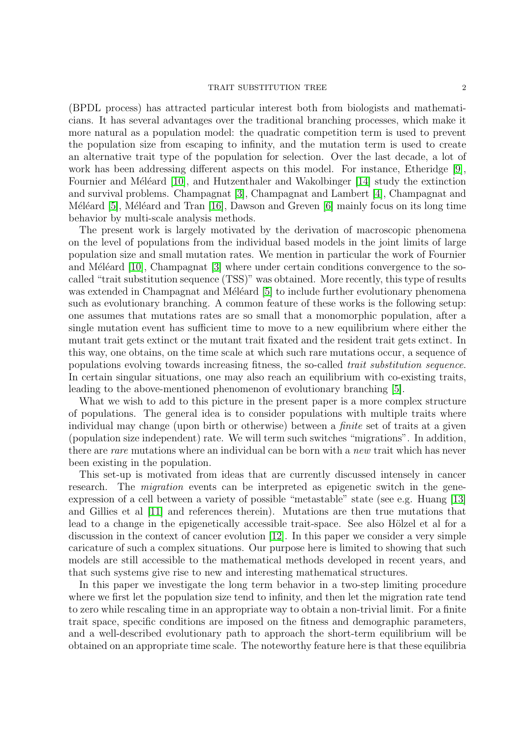### TRAIT SUBSTITUTION TREE 2

(BPDL process) has attracted particular interest both from biologists and mathematicians. It has several advantages over the traditional branching processes, which make it more natural as a population model: the quadratic competition term is used to prevent the population size from escaping to infinity, and the mutation term is used to create an alternative trait type of the population for selection. Over the last decade, a lot of work has been addressing different aspects on this model. For instance, Etheridge [\[9\]](#page-27-4), Fournier and Méléard  $[10]$ , and Hutzenthaler and Wakolbinger  $[14]$  study the extinction and survival problems. Champagnat [\[3\]](#page-27-1), Champagnat and Lambert [\[4\]](#page-27-7), Champagnat and Méléard [\[5\]](#page-27-8), Méléard and Tran  $[16]$ , Dawson and Greven [\[6\]](#page-27-10) mainly focus on its long time behavior by multi-scale analysis methods.

The present work is largely motivated by the derivation of macroscopic phenomena on the level of populations from the individual based models in the joint limits of large population size and small mutation rates. We mention in particular the work of Fournier and Méléard  $[10]$ , Champagnat  $[3]$  where under certain conditions convergence to the socalled "trait substitution sequence (TSS)" was obtained. More recently, this type of results was extended in Champagnat and Méléard [\[5\]](#page-27-8) to include further evolutionary phenomena such as evolutionary branching. A common feature of these works is the following setup: one assumes that mutations rates are so small that a monomorphic population, after a single mutation event has sufficient time to move to a new equilibrium where either the mutant trait gets extinct or the mutant trait fixated and the resident trait gets extinct. In this way, one obtains, on the time scale at which such rare mutations occur, a sequence of populations evolving towards increasing fitness, the so-called trait substitution sequence. In certain singular situations, one may also reach an equilibrium with co-existing traits, leading to the above-mentioned phenomenon of evolutionary branching [\[5\]](#page-27-8).

What we wish to add to this picture in the present paper is a more complex structure of populations. The general idea is to consider populations with multiple traits where individual may change (upon birth or otherwise) between a *finite* set of traits at a given (population size independent) rate. We will term such switches "migrations". In addition, there are rare mutations where an individual can be born with a new trait which has never been existing in the population.

This set-up is motivated from ideas that are currently discussed intensely in cancer research. The *migration* events can be interpreted as epigenetic switch in the geneexpression of a cell between a variety of possible "metastable" state (see e.g. Huang [\[13\]](#page-27-11) and Gillies et al [\[11\]](#page-27-12) and references therein). Mutations are then true mutations that lead to a change in the epigenetically accessible trait-space. See also Hölzel et al for a discussion in the context of cancer evolution [\[12\]](#page-27-13). In this paper we consider a very simple caricature of such a complex situations. Our purpose here is limited to showing that such models are still accessible to the mathematical methods developed in recent years, and that such systems give rise to new and interesting mathematical structures.

In this paper we investigate the long term behavior in a two-step limiting procedure where we first let the population size tend to infinity, and then let the migration rate tend to zero while rescaling time in an appropriate way to obtain a non-trivial limit. For a finite trait space, specific conditions are imposed on the fitness and demographic parameters, and a well-described evolutionary path to approach the short-term equilibrium will be obtained on an appropriate time scale. The noteworthy feature here is that these equilibria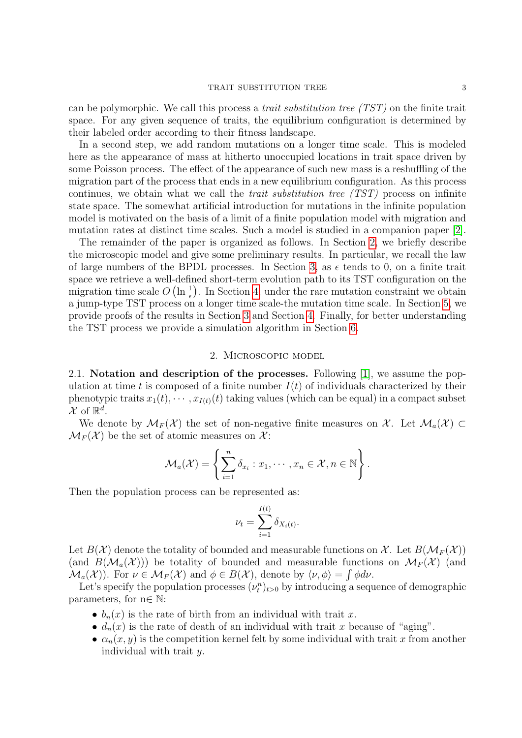can be polymorphic. We call this process a trait substitution tree (TST) on the finite trait space. For any given sequence of traits, the equilibrium configuration is determined by their labeled order according to their fitness landscape.

In a second step, we add random mutations on a longer time scale. This is modeled here as the appearance of mass at hitherto unoccupied locations in trait space driven by some Poisson process. The effect of the appearance of such new mass is a reshuffling of the migration part of the process that ends in a new equilibrium configuration. As this process continues, we obtain what we call the trait substitution tree (TST) process on infinite state space. The somewhat artificial introduction for mutations in the infinite population model is motivated on the basis of a limit of a finite population model with migration and mutation rates at distinct time scales. Such a model is studied in a companion paper [\[2\]](#page-27-14).

The remainder of the paper is organized as follows. In Section [2,](#page-2-0) we briefly describe the microscopic model and give some preliminary results. In particular, we recall the law of large numbers of the BPDL processes. In Section [3,](#page-4-0) as  $\epsilon$  tends to 0, on a finite trait space we retrieve a well-defined short-term evolution path to its TST configuration on the migration time scale  $O\left(\ln\frac{1}{\epsilon}\right)$ . In Section [4,](#page-6-0) under the rare mutation constraint we obtain a jump-type TST process on a longer time scale-the mutation time scale. In Section [5,](#page-10-0) we provide proofs of the results in Section [3](#page-4-0) and Section [4.](#page-6-0) Finally, for better understanding the TST process we provide a simulation algorithm in Section [6.](#page-25-0)

# 2. Microscopic model

<span id="page-2-1"></span><span id="page-2-0"></span>2.1. Notation and description of the processes. Following [\[1\]](#page-27-2), we assume the population at time t is composed of a finite number  $I(t)$  of individuals characterized by their phenotypic traits  $x_1(t), \dots, x_{I(t)}(t)$  taking values (which can be equal) in a compact subset  $\mathcal{X}$  of  $\mathbb{R}^d$ .

We denote by  $\mathcal{M}_F(\mathcal{X})$  the set of non-negative finite measures on X. Let  $\mathcal{M}_a(\mathcal{X}) \subset$  $\mathcal{M}_F(\mathcal{X})$  be the set of atomic measures on  $\mathcal{X}$ :

$$
\mathcal{M}_a(\mathcal{X}) = \left\{ \sum_{i=1}^n \delta_{x_i} : x_1, \cdots, x_n \in \mathcal{X}, n \in \mathbb{N} \right\}.
$$

Then the population process can be represented as:

$$
\nu_t = \sum_{i=1}^{I(t)} \delta_{X_i(t)}.
$$

Let  $B(\mathcal{X})$  denote the totality of bounded and measurable functions on X. Let  $B(\mathcal{M}_F(\mathcal{X}))$ (and  $B(\mathcal{M}_a(\mathcal{X}))$ ) be totality of bounded and measurable functions on  $\mathcal{M}_F(\mathcal{X})$  (and  $\mathcal{M}_a(\mathcal{X})$ ). For  $\nu \in \mathcal{M}_F(\mathcal{X})$  and  $\phi \in B(\mathcal{X})$ , denote by  $\langle \nu, \phi \rangle = \int \phi d\nu$ .

Let's specify the population processes  $(\nu_t^n)_{t>0}$  by introducing a sequence of demographic parameters, for  $n \in \mathbb{N}$ :

- $b_n(x)$  is the rate of birth from an individual with trait x.
- $d_n(x)$  is the rate of death of an individual with trait x because of "aging".
- $\alpha_n(x, y)$  is the competition kernel felt by some individual with trait x from another individual with trait y.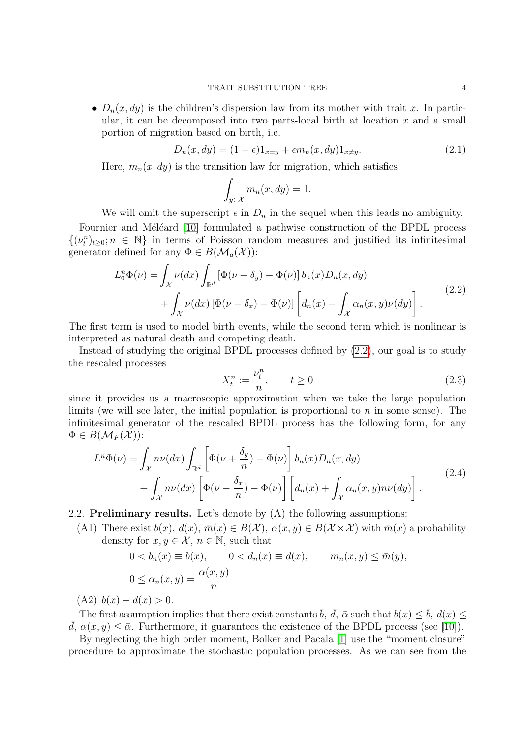•  $D_n(x, dy)$  is the children's dispersion law from its mother with trait x. In particular, it can be decomposed into two parts-local birth at location  $x$  and a small portion of migration based on birth, i.e.

<span id="page-3-4"></span>
$$
D_n(x, dy) = (1 - \epsilon)1_{x=y} + \epsilon m_n(x, dy)1_{x \neq y}.
$$
\n
$$
(2.1)
$$

Here,  $m_n(x, dy)$  is the transition law for migration, which satisfies

$$
\int_{y \in \mathcal{X}} m_n(x, dy) = 1.
$$

We will omit the superscript  $\epsilon$  in  $D_n$  in the sequel when this leads no ambiguity. Fournier and Méléard [\[10\]](#page-27-5) formulated a pathwise construction of the BPDL process  $\{(\nu_t^n)_{t\geq 0}; n \in \mathbb{N}\}\$  in terms of Poisson random measures and justified its infinitesimal generator defined for any  $\Phi \in B(\mathcal{M}_a(\mathcal{X}))$ :

<span id="page-3-1"></span>
$$
L_0^n \Phi(\nu) = \int_{\mathcal{X}} \nu(dx) \int_{\mathbb{R}^d} \left[ \Phi(\nu + \delta_y) - \Phi(\nu) \right] b_n(x) D_n(x, dy) + \int_{\mathcal{X}} \nu(dx) \left[ \Phi(\nu - \delta_x) - \Phi(\nu) \right] \left[ d_n(x) + \int_{\mathcal{X}} \alpha_n(x, y) \nu(dy) \right].
$$
 (2.2)

The first term is used to model birth events, while the second term which is nonlinear is interpreted as natural death and competing death.

Instead of studying the original BPDL processes defined by [\(2.2\)](#page-3-1), our goal is to study the rescaled processes

<span id="page-3-3"></span>
$$
X_t^n := \frac{\nu_t^n}{n}, \qquad t \ge 0 \tag{2.3}
$$

since it provides us a macroscopic approximation when we take the large population limits (we will see later, the initial population is proportional to  $n$  in some sense). The infinitesimal generator of the rescaled BPDL process has the following form, for any  $\Phi \in B(\mathcal{M}_F(\mathcal{X}))$ :

<span id="page-3-2"></span>
$$
L^{n}\Phi(\nu) = \int_{\mathcal{X}} n\nu(dx) \int_{\mathbb{R}^{d}} \left[ \Phi(\nu + \frac{\delta_{y}}{n}) - \Phi(\nu) \right] b_{n}(x) D_{n}(x, dy) + \int_{\mathcal{X}} n\nu(dx) \left[ \Phi(\nu - \frac{\delta_{x}}{n}) - \Phi(\nu) \right] \left[ d_{n}(x) + \int_{\mathcal{X}} \alpha_{n}(x, y) n\nu(dy) \right].
$$
 (2.4)

<span id="page-3-0"></span>2.2. **Preliminary results.** Let's denote by  $(A)$  the following assumptions:

(A1) There exist  $b(x)$ ,  $d(x)$ ,  $\bar{m}(x) \in B(\mathcal{X})$ ,  $\alpha(x, y) \in B(\mathcal{X} \times \mathcal{X})$  with  $\bar{m}(x)$  a probability density for  $x, y \in \mathcal{X}, n \in \mathbb{N}$ , such that

$$
0 < b_n(x) \equiv b(x), \qquad 0 < d_n(x) \equiv d(x), \qquad m_n(x, y) \leq \bar{m}(y),
$$
\n
$$
0 \leq \alpha_n(x, y) = \frac{\alpha(x, y)}{n}
$$

(A2)  $b(x) - d(x) > 0$ .

The first assumption implies that there exist constants  $\bar{b}$ ,  $\bar{d}$ ,  $\bar{\alpha}$  such that  $b(x) \leq \bar{b}$ ,  $d(x) \leq$  $\overline{d}, \alpha(x, y) \leq \overline{\alpha}$ . Furthermore, it guarantees the existence of the BPDL process (see [\[10\]](#page-27-5)).

By neglecting the high order moment, Bolker and Pacala [\[1\]](#page-27-2) use the "moment closure" procedure to approximate the stochastic population processes. As we can see from the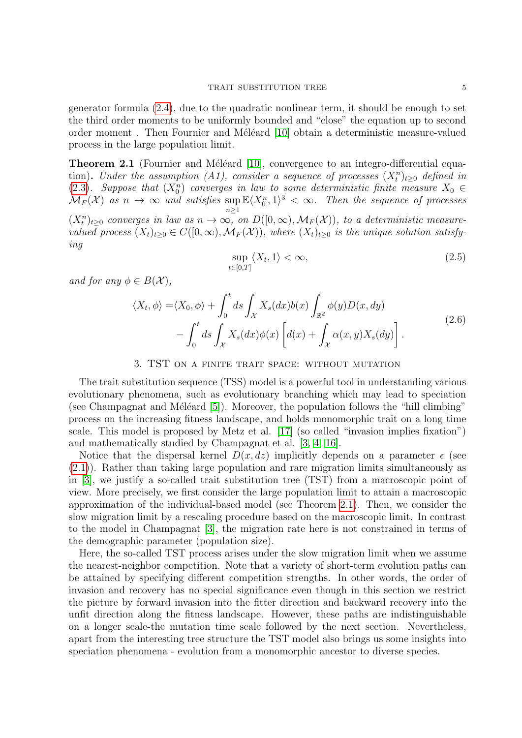generator formula [\(2.4\)](#page-3-2), due to the quadratic nonlinear term, it should be enough to set the third order moments to be uniformly bounded and "close" the equation up to second order moment. Then Fournier and Méléard [\[10\]](#page-27-5) obtain a deterministic measure-valued process in the large population limit.

<span id="page-4-1"></span>**Theorem 2.1** (Fournier and Méléard [\[10\]](#page-27-5), convergence to an integro-differential equation). Under the assumption (A1), consider a sequence of processes  $(X_t^n)_{t\geq0}$  defined in [\(2.3\)](#page-3-3). Suppose that  $(X_0^n)$  converges in law to some deterministic finite measure  $X_0 \in (2.3)$ .  $\mathcal{M}_F(\mathcal{X})$  as  $n \to \infty$  and satisfies sup  $\mathbb{E}\langle X_0^n,1\rangle^3 < \infty$ . Then the sequence of processes  $(X_t^n)_{t\geq 0}$  converges in law as  $n \to \infty$ , on  $D([0,\infty), \mathcal{M}_F(\mathcal{X}))$ , to a deterministic measurevalued process  $(X_t)_{t>0} \in C([0,\infty), \mathcal{M}_F(\mathcal{X}))$ , where  $(X_t)_{t>0}$  is the unique solution satisfy-

$$
\sup_{t \in [0,T]} \langle X_t, 1 \rangle < \infty,\tag{2.5}
$$

and for any  $\phi \in B(\mathcal{X}),$ 

ing

<span id="page-4-2"></span>
$$
\langle X_t, \phi \rangle = \langle X_0, \phi \rangle + \int_0^t ds \int_{\mathcal{X}} X_s(dx) b(x) \int_{\mathbb{R}^d} \phi(y) D(x, dy) - \int_0^t ds \int_{\mathcal{X}} X_s(dx) \phi(x) \left[ d(x) + \int_{\mathcal{X}} \alpha(x, y) X_s(dy) \right]. \tag{2.6}
$$

## 3. TST on a finite trait space: without mutation

<span id="page-4-0"></span>The trait substitution sequence (TSS) model is a powerful tool in understanding various evolutionary phenomena, such as evolutionary branching which may lead to speciation (see Champagnat and Méléard  $[5]$ ). Moreover, the population follows the "hill climbing" process on the increasing fitness landscape, and holds monomorphic trait on a long time scale. This model is proposed by Metz et al. [\[17\]](#page-27-15) (so called "invasion implies fixation") and mathematically studied by Champagnat et al. [\[3,](#page-27-1) [4,](#page-27-7) [16\]](#page-27-9).

Notice that the dispersal kernel  $D(x, dz)$  implicitly depends on a parameter  $\epsilon$  (see [\(2.1\)](#page-3-4)). Rather than taking large population and rare migration limits simultaneously as in [\[3\]](#page-27-1), we justify a so-called trait substitution tree (TST) from a macroscopic point of view. More precisely, we first consider the large population limit to attain a macroscopic approximation of the individual-based model (see Theorem [2.1\)](#page-4-1). Then, we consider the slow migration limit by a rescaling procedure based on the macroscopic limit. In contrast to the model in Champagnat [\[3\]](#page-27-1), the migration rate here is not constrained in terms of the demographic parameter (population size).

Here, the so-called TST process arises under the slow migration limit when we assume the nearest-neighbor competition. Note that a variety of short-term evolution paths can be attained by specifying different competition strengths. In other words, the order of invasion and recovery has no special significance even though in this section we restrict the picture by forward invasion into the fitter direction and backward recovery into the unfit direction along the fitness landscape. However, these paths are indistinguishable on a longer scale-the mutation time scale followed by the next section. Nevertheless, apart from the interesting tree structure the TST model also brings us some insights into speciation phenomena - evolution from a monomorphic ancestor to diverse species.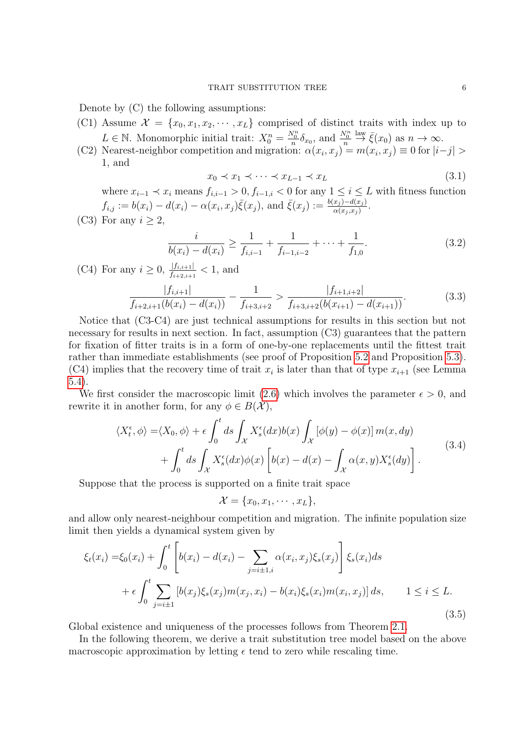Denote by (C) the following assumptions:

- (C1) Assume  $\mathcal{X} = \{x_0, x_1, x_2, \cdots, x_L\}$  comprised of distinct traits with index up to  $L \in \mathbb{N}$ . Monomorphic initial trait:  $X_0^n = \frac{N_0^n}{n} \delta_{x_0}$ , and  $\frac{N_0^n}{n}$  $\stackrel{\text{law}}{\rightarrow} \bar{\xi}(x_0)$  as  $n \to \infty$ .
- (C2) Nearest-neighbor competition and migration:  $\alpha(x_i, x_j) = m(x_i, x_j) \equiv 0$  for  $|i-j| >$ 1, and

$$
x_0 \prec x_1 \prec \cdots \prec x_{L-1} \prec x_L \tag{3.1}
$$

where  $x_{i-1} \prec x_i$  means  $f_{i,i-1} > 0, f_{i-1,i} < 0$  for any  $1 \leq i \leq L$  with fitness function  $f_{i,j} := b(x_i) - d(x_i) - \alpha(x_i, x_j) \bar{\xi}(x_j)$ , and  $\bar{\xi}(x_j) := \frac{b(x_j) - d(x_j)}{\alpha(x_j, x_j)}$ .

(C3) For any  $i \geq 2$ ,

$$
\frac{i}{b(x_i) - d(x_i)} \ge \frac{1}{f_{i,i-1}} + \frac{1}{f_{i-1,i-2}} + \dots + \frac{1}{f_{1,0}}.\tag{3.2}
$$

(C4) For any 
$$
i \ge 0
$$
,  $\frac{|f_{i,i+1}|}{f_{i+2,i+1}} < 1$ , and  

$$
\frac{|f_{i,i+1}|}{f_{i+2,i+1}(b(x_i) - d(x_i))} - \frac{1}{f_{i+3,i+2}} > \frac{|f_{i+1,i+2}|}{f_{i+3,i+2}(b(x_{i+1}) - d(x_{i+1}))}.
$$
(3.3)

Notice that (C3-C4) are just technical assumptions for results in this section but not necessary for results in next section. In fact, assumption (C3) guarantees that the pattern for fixation of fitter traits is in a form of one-by-one replacements until the fittest trait rather than immediate establishments (see proof of Proposition [5.2](#page-11-0) and Proposition [5.3\)](#page-17-0). (C4) implies that the recovery time of trait  $x_i$  is later than that of type  $x_{i+1}$  (see Lemma [5.4\)](#page-19-0).

We first consider the macroscopic limit [\(2.6\)](#page-4-2) which involves the parameter  $\epsilon > 0$ , and rewrite it in another form, for any  $\phi \in B(\mathcal{X}),$ 

$$
\langle X_t^{\epsilon}, \phi \rangle = \langle X_0, \phi \rangle + \epsilon \int_0^t ds \int_{\mathcal{X}} X_s^{\epsilon}(dx) b(x) \int_{\mathcal{X}} [\phi(y) - \phi(x)] m(x, dy) + \int_0^t ds \int_{\mathcal{X}} X_s^{\epsilon}(dx) \phi(x) \left[ b(x) - d(x) - \int_{\mathcal{X}} \alpha(x, y) X_s^{\epsilon}(dy) \right].
$$
\n(3.4)

Suppose that the process is supported on a finite trait space

$$
\mathcal{X} = \{x_0, x_1, \cdots, x_L\},\
$$

and allow only nearest-neighbour competition and migration. The infinite population size limit then yields a dynamical system given by

<span id="page-5-0"></span>
$$
\xi_t(x_i) = \xi_0(x_i) + \int_0^t \left[ b(x_i) - d(x_i) - \sum_{j=i\pm 1, i} \alpha(x_i, x_j) \xi_s(x_j) \right] \xi_s(x_i) ds
$$
  
+  $\epsilon \int_0^t \sum_{j=i\pm 1} \left[ b(x_j) \xi_s(x_j) m(x_j, x_i) - b(x_i) \xi_s(x_i) m(x_i, x_j) \right] ds, \qquad 1 \le i \le L.$  (3.5)

Global existence and uniqueness of the processes follows from Theorem [2.1.](#page-4-1)

In the following theorem, we derive a trait substitution tree model based on the above macroscopic approximation by letting  $\epsilon$  tend to zero while rescaling time.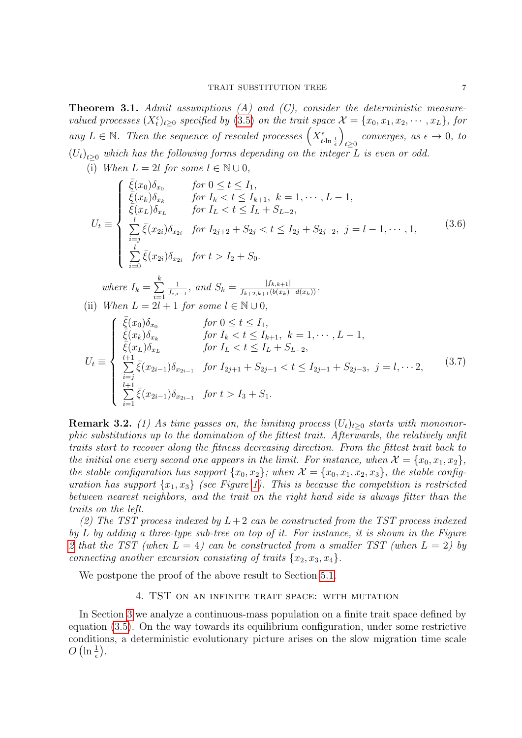<span id="page-6-1"></span>**Theorem 3.1.** Admit assumptions  $(A)$  and  $(C)$ , consider the deterministic measurevalued processes  $(X_t^{\epsilon})_{t\geq 0}$  specified by [\(3.5\)](#page-5-0) on the trait space  $\mathcal{X} = \{x_0, x_1, x_2, \cdots, x_L\}$ , for any  $L \in \mathbb{N}$ . Then the sequence of rescaled processes  $\left(X_{t\cdot\ln\frac{1}{\epsilon}}^{\epsilon}\right)$  $\setminus$ converges, as  $\epsilon \to 0$ , to  $(U_t)_{t\geq0}$  which has the following forms depending on the integer L is even or odd.

(i) When  $L = 2l$  for some  $l \in \mathbb{N} \cup 0$ ,

<span id="page-6-3"></span>
$$
U_{t} \equiv \begin{cases} \frac{\bar{\xi}(x_{0})\delta_{x_{0}}}{\bar{\xi}(x_{k})\delta_{x_{k}}} & \text{for } 0 \leq t \leq I_{1}, \\ \frac{\bar{\xi}(x_{k})\delta_{x_{k}}}{\bar{\xi}(x_{L})\delta_{x_{L}}} & \text{for } I_{k} < t \leq I_{L} + S_{L-2}, \\ \frac{l}{\bar{\xi}(x_{2i})\delta_{x_{2i}}} & \text{for } I_{2j+2} + S_{2j} < t \leq I_{2j} + S_{2j-2}, \ j = l - 1, \cdots, 1, \\ \frac{l}{\bar{\xi}(x_{2i})\delta_{x_{2i}}} & \text{for } t > I_{2} + S_{0}. \end{cases}
$$
\n
$$
(3.6)
$$

where 
$$
I_k = \sum_{i=1}^k \frac{1}{f_{i,i-1}}
$$
, and  $S_k = \frac{|f_{k,k+1}|}{f_{k+2,k+1}(b(x_k) - d(x_k))}$ .  
When  $L = 2l + 1$  for some  $l \in \mathbb{N} \cup \{1\}$ .

(ii) When 
$$
L = 2l + 1
$$
 for some  $l \in \mathbb{N} \cup 0$ ,

$$
U_{t} \equiv \begin{cases} \frac{\bar{\xi}(x_{0})\delta_{x_{0}}}{\bar{\xi}(x_{k})\delta_{x_{k}}} & \text{for } 0 \leq t \leq I_{1}, \\ \frac{\bar{\xi}(x_{k})\delta_{x_{k}}}{\bar{\xi}(x_{L})\delta_{x_{L}}} & \text{for } I_{k} < t \leq I_{k+1}, \ k = 1, \cdots, L-1, \\ \frac{l+1}{\bar{\xi}(x_{L})\delta_{x_{L}}} & \text{for } I_{L} < t \leq I_{L} + S_{L-2}, \\ \sum_{\substack{i=j \ i \neq 1}}^{l+1} \bar{\xi}(x_{2i-1})\delta_{x_{2i-1}} & \text{for } I_{2j+1} + S_{2j-1} < t \leq I_{2j-1} + S_{2j-3}, \ j = l, \cdots 2, \\ \sum_{i=1}^{l+1} \bar{\xi}(x_{2i-1})\delta_{x_{2i-1}} & \text{for } t > I_{3} + S_{1}. \end{cases} (3.7)
$$

<span id="page-6-2"></span>**Remark 3.2.** (1) As time passes on, the limiting process  $(U_t)_{t\geq0}$  starts with monomorphic substitutions up to the domination of the fittest trait. Afterwards, the relatively unfit traits start to recover along the fitness decreasing direction. From the fittest trait back to the initial one every second one appears in the limit. For instance, when  $\mathcal{X} = \{x_0, x_1, x_2\}$ , the stable configuration has support  $\{x_0, x_2\}$ ; when  $\mathcal{X} = \{x_0, x_1, x_2, x_3\}$ , the stable configuration has support  $\{x_1, x_3\}$  (see Figure [1\)](#page-7-0). This is because the competition is restricted between nearest neighbors, and the trait on the right hand side is always fitter than the traits on the left.

(2) The TST process indexed by  $L+2$  can be constructed from the TST process indexed by  $L$  by adding a three-type sub-tree on top of it. For instance, it is shown in the Figure [2](#page-7-1) that the TST (when  $L = 4$ ) can be constructed from a smaller TST (when  $L = 2$ ) by connecting another excursion consisting of traits  $\{x_2, x_3, x_4\}.$ 

<span id="page-6-0"></span>We postpone the proof of the above result to Section [5.1.](#page-10-1)

## 4. TST on an infinite trait space: with mutation

In Section [3](#page-4-0) we analyze a continuous-mass population on a finite trait space defined by equation [\(3.5\)](#page-5-0). On the way towards its equilibrium configuration, under some restrictive conditions, a deterministic evolutionary picture arises on the slow migration time scale  $O\left(\ln \frac{1}{\epsilon}\right)$ .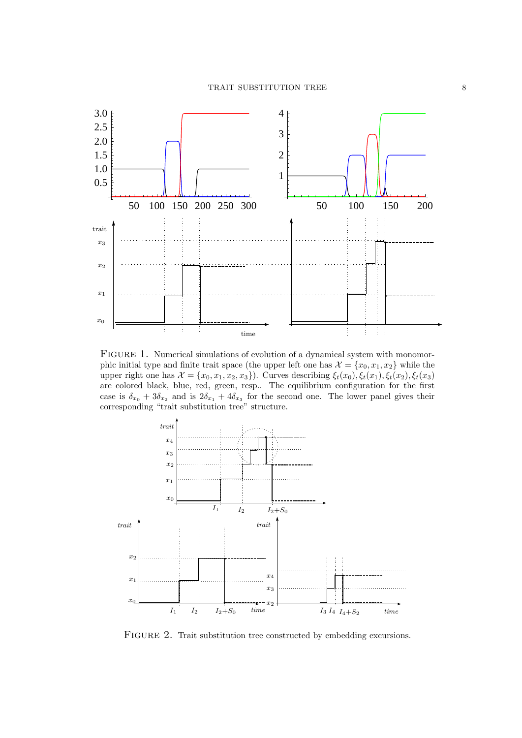

<span id="page-7-0"></span>FIGURE 1. Numerical simulations of evolution of a dynamical system with monomorphic initial type and finite trait space (the upper left one has  $\mathcal{X} = \{x_0, x_1, x_2\}$  while the upper right one has  $\mathcal{X} = \{x_0, x_1, x_2, x_3\}$ . Curves describing  $\xi_t(x_0), \xi_t(x_1), \xi_t(x_2), \xi_t(x_3)$ are colored black, blue, red, green, resp.. The equilibrium configuration for the first case is  $\delta_{x_0} + 3\delta_{x_2}$  and is  $2\delta_{x_1} + 4\delta_{x_3}$  for the second one. The lower panel gives their corresponding "trait substitution tree" structure.



<span id="page-7-1"></span>FIGURE 2. Trait substitution tree constructed by embedding excursions.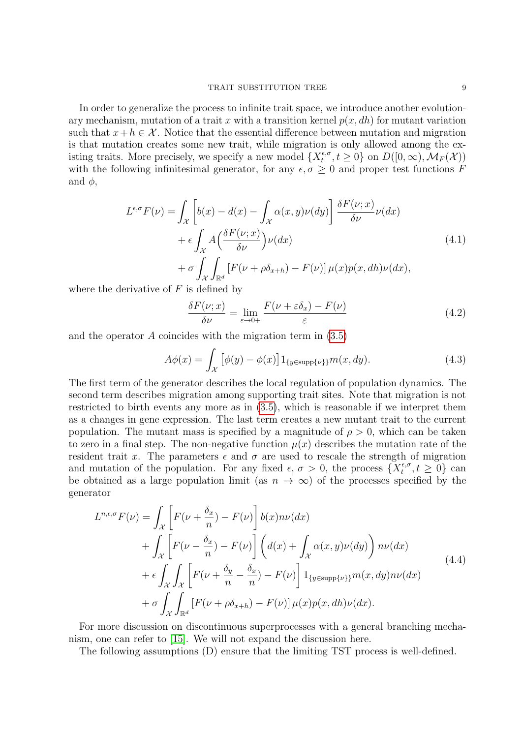#### TRAIT SUBSTITUTION TREE 9

In order to generalize the process to infinite trait space, we introduce another evolutionary mechanism, mutation of a trait x with a transition kernel  $p(x, dh)$  for mutant variation such that  $x+h \in \mathcal{X}$ . Notice that the essential difference between mutation and migration is that mutation creates some new trait, while migration is only allowed among the existing traits. More precisely, we specify a new model  $\{X_t^{\epsilon,\sigma}$  $t^{\epsilon, \sigma}, t \geq 0$ } on  $D([0, \infty), \mathcal{M}_F(\mathcal{X}))$ with the following infinitesimal generator, for any  $\epsilon, \sigma \geq 0$  and proper test functions F and  $\phi$ ,

<span id="page-8-0"></span>
$$
L^{\epsilon,\sigma}F(\nu) = \int_{\mathcal{X}} \left[ b(x) - d(x) - \int_{\mathcal{X}} \alpha(x, y)\nu(dy) \right] \frac{\delta F(\nu; x)}{\delta \nu} \nu(dx)
$$
  
+  $\epsilon \int_{\mathcal{X}} A\left(\frac{\delta F(\nu; x)}{\delta \nu}\right) \nu(dx)$   
+  $\sigma \int_{\mathcal{X}} \int_{\mathbb{R}^d} \left[ F(\nu + \rho \delta_{x+h}) - F(\nu) \right] \mu(x)p(x, dh)\nu(dx),$   
simities of  $F$  is defined by

where the derivative of  $F$  is defined by

$$
\frac{\delta F(\nu; x)}{\delta \nu} = \lim_{\varepsilon \to 0+} \frac{F(\nu + \varepsilon \delta_x) - F(\nu)}{\varepsilon} \tag{4.2}
$$

and the operator  $A$  coincides with the migration term in  $(3.5)$ 

$$
A\phi(x) = \int_{\mathcal{X}} \left[ \phi(y) - \phi(x) \right] 1_{\{y \in \text{supp}\{\nu\}\}} m(x, dy). \tag{4.3}
$$

The first term of the generator describes the local regulation of population dynamics. The second term describes migration among supporting trait sites. Note that migration is not restricted to birth events any more as in [\(3.5\)](#page-5-0), which is reasonable if we interpret them as a changes in gene expression. The last term creates a new mutant trait to the current population. The mutant mass is specified by a magnitude of  $\rho > 0$ , which can be taken to zero in a final step. The non-negative function  $\mu(x)$  describes the mutation rate of the resident trait x. The parameters  $\epsilon$  and  $\sigma$  are used to rescale the strength of migration and mutation of the population. For any fixed  $\epsilon, \sigma > 0$ , the process  $\{X_t^{\epsilon, \sigma}\}$  $t_t^{\epsilon,\sigma}, t \geq 0$ } can be obtained as a large population limit (as  $n \to \infty$ ) of the processes specified by the generator

$$
L^{n,\epsilon,\sigma}F(\nu) = \int_{\mathcal{X}} \left[ F(\nu + \frac{\delta_x}{n}) - F(\nu) \right] b(x) n\nu(dx) + \int_{\mathcal{X}} \left[ F(\nu - \frac{\delta_x}{n}) - F(\nu) \right] \left( d(x) + \int_{\mathcal{X}} \alpha(x, y) \nu(dy) \right) n\nu(dx) + \epsilon \int_{\mathcal{X}} \int_{\mathcal{X}} \left[ F(\nu + \frac{\delta_y}{n} - \frac{\delta_x}{n}) - F(\nu) \right] 1_{\{y \in \text{supp}\{\nu\}\}} m(x, dy) n\nu(dx) + \sigma \int_{\mathcal{X}} \int_{\mathbb{R}^d} \left[ F(\nu + \rho \delta_{x+h}) - F(\nu) \right] \mu(x) p(x, dh) \nu(dx).
$$
\n(4.4)

For more discussion on discontinuous superprocesses with a general branching mechanism, one can refer to [\[15\]](#page-27-16). We will not expand the discussion here.

The following assumptions (D) ensure that the limiting TST process is well-defined.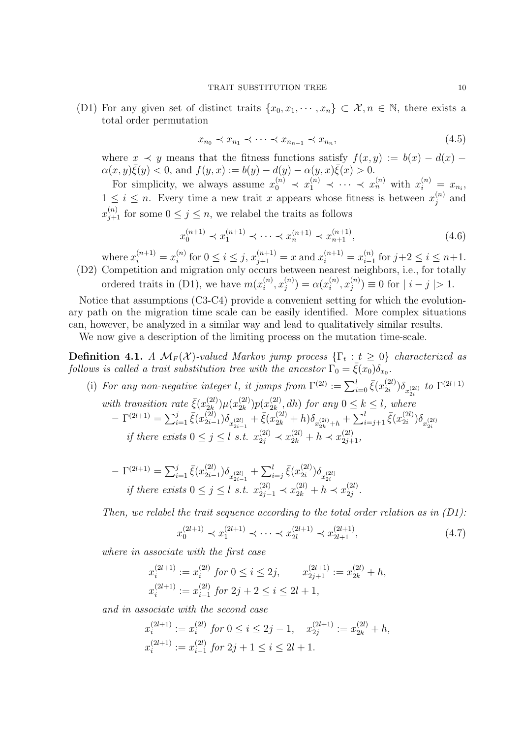(D1) For any given set of distinct traits  $\{x_0, x_1, \dots, x_n\} \subset \mathcal{X}, n \in \mathbb{N}$ , there exists a total order permutation

$$
x_{n_0} \prec x_{n_1} \prec \cdots \prec x_{n_{n-1}} \prec x_{n_n}, \tag{4.5}
$$

where  $x \prec y$  means that the fitness functions satisfy  $f(x, y) := b(x) - d(x) \alpha(x, y)\bar{\xi}(y) < 0$ , and  $f(y, x) := b(y) - d(y) - \alpha(y, x)\bar{\xi}(x) > 0$ .

For simplicity, we always assume  $x_0^{(n)} \prec x_1^{(n)} \prec \cdots \prec x_n^{(n)}$  with  $x_i^{(n)} = x_{n_i}$ ,  $1 \leq i \leq n$ . Every time a new trait x appears whose fitness is between  $x_i^{(n)}$  $j^{(n)}$  and  $x_{j+1}^{(n)}$  for some  $0 \leq j \leq n$ , we relabel the traits as follows

$$
x_0^{(n+1)} \prec x_1^{(n+1)} \prec \cdots \prec x_n^{(n+1)} \prec x_{n+1}^{(n+1)}, \tag{4.6}
$$

where  $x_i^{(n+1)} = x_i^{(n)}$  $i^{(n)}$  for  $0 \leq i \leq j$ ,  $x_{j+1}^{(n+1)} = x$  and  $x_i^{(n+1)} = x_{i-1}^{(n)}$  $\sum_{i=1}^{(n)}$  for  $j+2 \leq i \leq n+1$ . (D2) Competition and migration only occurs between nearest neighbors, i.e., for totally ordered traits in (D1), we have  $m(x_i^{(n)})$  $\binom{n}{i},x_j^{(n)}$  $j^{(n)}$ ) =  $\alpha(x_i^{(n)}$  $\binom{n}{i},x_j^{(n)}$  $j^{(n)}$  = 0 for  $|i - j| > 1$ .

Notice that assumptions (C3-C4) provide a convenient setting for which the evolutionary path on the migration time scale can be easily identified. More complex situations can, however, be analyzed in a similar way and lead to qualitatively similar results.

We now give a description of the limiting process on the mutation time-scale.

<span id="page-9-0"></span>**Definition 4.1.** A  $\mathcal{M}_F(\mathcal{X})$ -valued Markov jump process  $\{\Gamma_t : t \geq 0\}$  characterized as follows is called a trait substitution tree with the ancestor  $\Gamma_0 = \bar{\xi}(x_0)\delta_{x_0}$ .

- (i) For any non-negative integer l, it jumps from  $\Gamma^{(2l)} := \sum_{i=0}^{l} \bar{\xi}(x_{2i}^{(2l)})$  $\sum_{i=2i}^{(2l)}\bigl)\delta_{x_{2i}^{(2l)}}$  to  $\Gamma^{(2l+1)}$ with transition rate  $\bar{\xi}(x_{2k}^{(2l)})\mu(x_{2k}^{(2l)})p(x_{2k}^{(2l)}, dh)$  for any  $0 \le k \le l$ , where  $_{2k}^{(2l)})\mu(x_{2k}^{(2l)}$  $\binom{(2l)}{2k}p(x_{2k}^{(2l)})$  $\sum_{2k}^{(2l)} dh$  for any  $0 \leq k \leq l$ , where  $-\Gamma^{(2l+1)} = \sum_{i=1}^j \bar{\xi}(x_{2i-1}^{(2l)})$  $\frac{(2l)}{2i-1} \Big) \delta_{x_{2i-1}^{(2l)}} + \bar{\xi}(x_{2k}^{(2l)} + h) \delta_{x_{2k}^{(2l)}+h} + \sum_{i=j+1}^{l} \bar{\xi}(x_{2i}^{(2l)} + h)$  $\binom{2i}{2i}$  $\delta_{x_{2i}^{(2l)}}$ if there exists  $0 \le j \le l$  s.t.  $x_{2j}^{(2l)} \prec x_{2k}^{(2l)} + h \prec x_{2j+1}^{(2l)}$ ,
	- $-\Gamma^{(2l+1)} = \sum_{i=1}^j \bar{\xi}(x_{2i-1}^{(2l)})$  $\sum_{i=1}^{(2l)}\delta_{x_{2i-1}^{(2l)}} + \sum_{i=j}^{l} \bar{\xi}(x_{2i}^{(2l)})$  $2i-1$   $\longrightarrow$   $e-y$   $\longrightarrow$   $2i$  $\delta_{x_{2i}^{(2l)}}^{(2l)}\big)\delta_{x_{2i}^{(2l)}}$ if there exists  $0 \le j \le l$  s.t.  $x_{2j-1}^{(2l)} \prec x_{2k}^{(2l)} + h \prec x_{2j}^{(2l)}$  $\frac{(2i)}{2j}$  .

Then, we relabel the trait sequence according to the total order relation as in  $(D1)$ :

$$
x_0^{(2l+1)} \prec x_1^{(2l+1)} \prec \cdots \prec x_{2l}^{(2l+1)} \prec x_{2l+1}^{(2l+1)}, \tag{4.7}
$$

where in associate with the first case

$$
x_i^{(2l+1)} := x_i^{(2l)} \text{ for } 0 \le i \le 2j, \qquad x_{2j+1}^{(2l+1)} := x_{2k}^{(2l)} + h,
$$
  

$$
x_i^{(2l+1)} := x_{i-1}^{(2l)} \text{ for } 2j+2 \le i \le 2l+1,
$$

and in associate with the second case

$$
\begin{aligned} x_i^{(2l+1)} &:= x_i^{(2l)} \; for \; 0 \leq i \leq 2j-1, \quad x_{2j}^{(2l+1)} := x_{2k}^{(2l)} + h, \\ x_i^{(2l+1)} &:= x_{i-1}^{(2l)} \; for \; 2j+1 \leq i \leq 2l+1. \end{aligned}
$$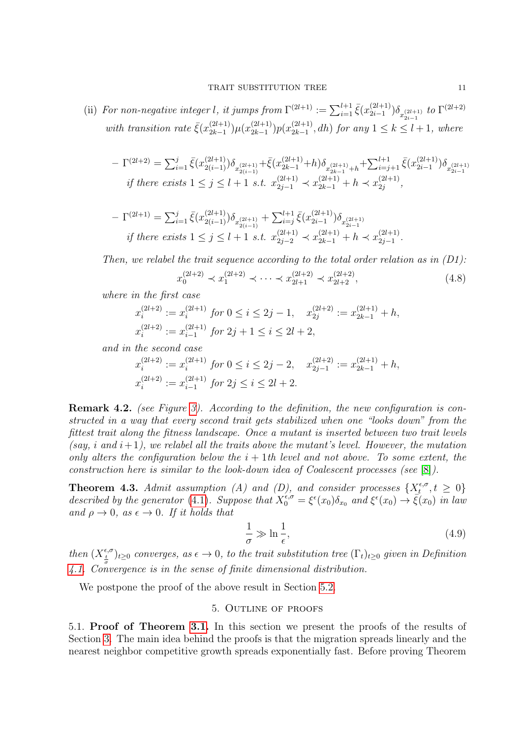(ii) For non-negative integer l, it jumps from  $\Gamma^{(2l+1)} := \sum_{i=1}^{l+1} \bar{\xi}(x_{2i-1}^{(2l+1)})$  $\sum_{2i-1}^{(2l+1)}$ )  $\delta_{x_{2i-1}^{(2l+1)}}$  to  $\Gamma^{(2l+2)}$ with transition rate  $\bar{\xi}(x_{2k-1}^{(2l+1)})$  $_{2k-1}^{(2l+1)}$  $\mu(x_{2k-1}^{(2l+1)}$  $\binom{(2l+1)}{2k-1} p(x_{2k-1}^{(2l+1)}$  $2k-1 \choose 2k-1}$ , dh) for any  $1 \leq k \leq l+1$ , where

$$
-\Gamma^{(2l+2)}=\textstyle{\sum}_{i=1}^j\bar\xi(x_{2(i-1)}^{(2l+1)})\delta_{x_{2(i-1)}^{(2l+1)}}+\bar\xi(x_{2k-1}^{(2l+1)}+h)\delta_{x_{2k-1}^{(2l+1)}+h}+\textstyle{\sum}_{i=j+1}^{l+1}\bar\xi(x_{2i-1}^{(2l+1)})\delta_{x_{2i-1}^{(2l+1)}}\\ \text{if there exists }1\leq j\leq l+1 \textit{ s.t. } x_{2j-1}^{(2l+1)}\prec x_{2k-1}^{(2l+1)}+h\prec x_{2j}^{(2l+1)},\\
$$

$$
-\Gamma^{(2l+1)} = \sum_{i=1}^{j} \bar{\xi}(x_{2(i-1)}^{(2l+1)}) \delta_{x_{2(i-1)}^{(2l+1)}} + \sum_{i=j}^{l+1} \bar{\xi}(x_{2i-1}^{(2l+1)}) \delta_{x_{2i-1}^{(2l+1)}}
$$
  
if there exists  $1 \le j \le l+1$  s.t.  $x_{2j-2}^{(2l+1)} \prec x_{2k-1}^{(2l+1)} + h \prec x_{2j-1}^{(2l+1)}$ .

Then, we relabel the trait sequence according to the total order relation as in  $(D1)$ :

$$
x_0^{(2l+2)} \prec x_1^{(2l+2)} \prec \cdots \prec x_{2l+1}^{(2l+2)} \prec x_{2l+2}^{(2l+2)},
$$
\n(4.8)

where in the first case

$$
x_i^{(2l+2)} := x_i^{(2l+1)} \text{ for } 0 \le i \le 2j-1, \quad x_{2j}^{(2l+2)} := x_{2k-1}^{(2l+1)} + h,
$$
  

$$
x_i^{(2l+2)} := x_{i-1}^{(2l+1)} \text{ for } 2j+1 \le i \le 2l+2,
$$

and in the second case

$$
\begin{aligned} x_i^{(2l+2)}&:=x_i^{(2l+1)}\;for\;0\le i\le 2j-2,\quad x_{2j-1}^{(2l+2)}:=x_{2k-1}^{(2l+1)}+h,\\ x_i^{(2l+2)}&:=x_{i-1}^{(2l+1)}\;for\;2j\le i\le 2l+2.\end{aligned}
$$

Remark 4.2. (see Figure [3\)](#page-11-1). According to the definition, the new configuration is constructed in a way that every second trait gets stabilized when one "looks down" from the fittest trait along the fitness landscape. Once a mutant is inserted between two trait levels (say, i and  $i+1$ ), we relabel all the traits above the mutant's level. However, the mutation only alters the configuration below the  $i + 1$ th level and not above. To some extent, the construction here is similar to the look-down idea of Coalescent processes (see [\[8\]](#page-27-17)).

<span id="page-10-2"></span>**Theorem 4.3.** Admit assumption (A) and (D), and consider processes  $\{X_t^{\epsilon,\sigma}$  $\{t^{\epsilon,\sigma}, t \geq 0\}$ described by the generator [\(4.1\)](#page-8-0). Suppose that  $X_0^{\epsilon,\sigma} = \xi^{\epsilon}(x_0)\delta_{x_0}$  and  $\xi^{\epsilon}(x_0) \to \overline{\xi}(x_0)$  in law and  $\rho \rightarrow 0$ , as  $\epsilon \rightarrow 0$ . If it holds that

$$
\frac{1}{\sigma} \gg \ln \frac{1}{\epsilon},\tag{4.9}
$$

then  $(X_{\frac{t}{\sigma}}^{\epsilon,\sigma})_{t\geq0}$  converges, as  $\epsilon\to0$ , to the trait substitution tree  $(\Gamma_t)_{t\geq0}$  given in Definition [4.1.](#page-9-0) Convergence is in the sense of finite dimensional distribution.

<span id="page-10-0"></span>We postpone the proof of the above result in Section [5.2.](#page-21-0)

# 5. Outline of proofs

<span id="page-10-1"></span>5.1. Proof of Theorem [3.1.](#page-6-1) In this section we present the proofs of the results of Section [3.](#page-4-0) The main idea behind the proofs is that the migration spreads linearly and the nearest neighbor competitive growth spreads exponentially fast. Before proving Theorem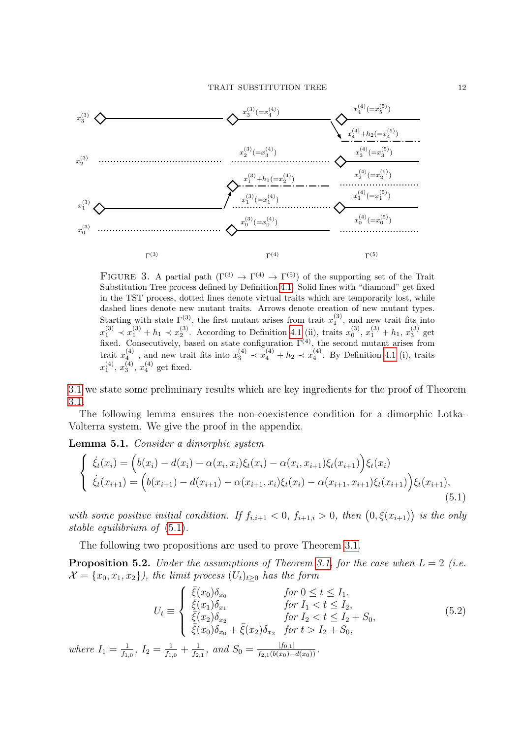

<span id="page-11-1"></span>FIGURE 3. A partial path  $(\Gamma^{(3)} \to \Gamma^{(4)} \to \Gamma^{(5)})$  of the supporting set of the Trait Substitution Tree process defined by Definition [4.1.](#page-9-0) Solid lines with "diamond" get fixed in the TST process, dotted lines denote virtual traits which are temporarily lost, while dashed lines denote new mutant traits. Arrows denote creation of new mutant types. Starting with state  $\Gamma^{(3)}$ , the first mutant arises from trait  $x_1^{(3)}$ , and new trait fits into  $x_1^{(3)} \prec x_1^{(3)} + h_1 \prec x_2^{(3)}$ . According to Definition [4.1](#page-9-0) (ii), traits  $x_0^{(3)}$ ,  $x_1^{(3)} + h_1$ ,  $x_3^{(3)}$  get fixed. Consecutively, based on state configuration  $\Gamma^{(4)}$ , the second mutant arises from trait  $x_4^{(4)}$ , and new trait fits into  $x_3^{(4)} \prec x_4^{(4)} + h_2 \prec x_4^{(4)}$ . By Definition [4.1](#page-9-0) (i), traits  $x_1^{(4)}$ ,  $x_3^{(4)}$ ,  $x_4^{(4)}$  get fixed.

[3.1](#page-6-1) we state some preliminary results which are key ingredients for the proof of Theorem [3.1.](#page-6-1)

The following lemma ensures the non-coexistence condition for a dimorphic Lotka-Volterra system. We give the proof in the appendix.

<span id="page-11-3"></span>Lemma 5.1. Consider a dimorphic system

<span id="page-11-2"></span>
$$
\begin{cases} \n\dot{\xi}_t(x_i) = \left( b(x_i) - d(x_i) - \alpha(x_i, x_i) \xi_t(x_i) - \alpha(x_i, x_{i+1}) \xi_t(x_{i+1}) \right) \xi_t(x_i) \\
\dot{\xi}_t(x_{i+1}) = \left( b(x_{i+1}) - d(x_{i+1}) - \alpha(x_{i+1}, x_i) \xi_t(x_i) - \alpha(x_{i+1}, x_{i+1}) \xi_t(x_{i+1}) \right) \xi_t(x_{i+1}),\n\end{cases} \tag{5.1}
$$

with some positive initial condition. If  $f_{i,i+1} < 0$ ,  $f_{i+1,i} > 0$ , then  $(0, \bar{\xi}(x_{i+1}))$  is the only stable equilibrium of [\(5.1\)](#page-11-2).

The following two propositions are used to prove Theorem [3.1.](#page-6-1)

<span id="page-11-0"></span>**Proposition 5.2.** Under the assumptions of Theorem [3.1,](#page-6-1) for the case when  $L = 2$  (i.e.  $\mathcal{X} = \{x_0, x_1, x_2\}$ , the limit process  $(U_t)_{t>0}$  has the form

<span id="page-11-4"></span>
$$
U_t \equiv \begin{cases} \bar{\xi}(x_0)\delta_{x_0} & \text{for } 0 \le t \le I_1, \\ \bar{\xi}(x_1)\delta_{x_1} & \text{for } I_1 < t \le I_2, \\ \bar{\xi}(x_2)\delta_{x_2} & \text{for } I_2 < t \le I_2 + S_0, \\ \bar{\xi}(x_0)\delta_{x_0} + \bar{\xi}(x_2)\delta_{x_2} & \text{for } t > I_2 + S_0, \end{cases}
$$
(5.2)  
where  $I_1 = \frac{1}{f_{1,0}}, I_2 = \frac{1}{f_{1,0}} + \frac{1}{f_{2,1}}, \text{ and } S_0 = \frac{|f_{0,1}|}{f_{2,1}(b(x_0) - d(x_0))}.$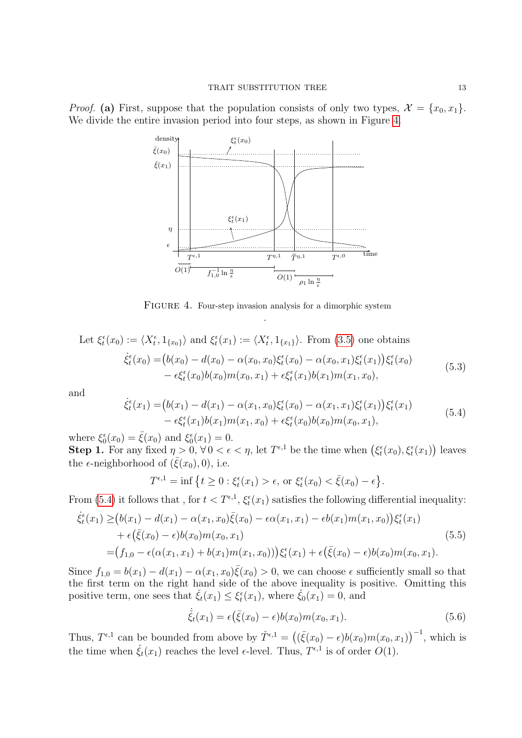*Proof.* (a) First, suppose that the population consists of only two types,  $\mathcal{X} = \{x_0, x_1\}$ . We divide the entire invasion period into four steps, as shown in Figure [4.](#page-12-0)



<span id="page-12-0"></span>FIGURE 4. Four-step invasion analysis for a dimorphic system .

Let 
$$
\xi_t^{\epsilon}(x_0) := \langle X_t^{\epsilon}, 1_{\{x_0\}} \rangle
$$
 and  $\xi_t^{\epsilon}(x_1) := \langle X_t^{\epsilon}, 1_{\{x_1\}} \rangle$ . From (3.5) one obtains  
\n
$$
\dot{\xi}_t^{\epsilon}(x_0) = (b(x_0) - d(x_0) - \alpha(x_0, x_0)\xi_t^{\epsilon}(x_0) - \alpha(x_0, x_1)\xi_t^{\epsilon}(x_1))\xi_t^{\epsilon}(x_0) - \epsilon \xi_t^{\epsilon}(x_0)b(x_0)m(x_0, x_1) + \epsilon \xi_t^{\epsilon}(x_1)b(x_1)m(x_1, x_0),
$$
\n(5.3)

and

<span id="page-12-2"></span><span id="page-12-1"></span>
$$
\dot{\xi}_t^{\epsilon}(x_1) = (b(x_1) - d(x_1) - \alpha(x_1, x_0)\xi_t^{\epsilon}(x_0) - \alpha(x_1, x_1)\xi_t^{\epsilon}(x_1))\xi_t^{\epsilon}(x_1) \n- \epsilon\xi_t^{\epsilon}(x_1)b(x_1)m(x_1, x_0) + \epsilon\xi_t^{\epsilon}(x_0)b(x_0)m(x_0, x_1),
$$
\n(5.4)

where  $\xi_0^{\epsilon}(x_0) = \bar{\xi}(x_0)$  and  $\xi_0^{\epsilon}(x_1) = 0$ .

**Step 1.** For any fixed  $\eta > 0$ ,  $\forall 0 < \epsilon < \eta$ , let  $T^{\epsilon,1}$  be the time when  $(\xi_t^{\epsilon}(x_0), \xi_t^{\epsilon}(x_1))$  leaves the  $\epsilon$ -neighborhood of  $(\bar{\xi}(x_0), 0)$ , i.e.

$$
T^{\epsilon,1} = \inf \left\{ t \ge 0 : \xi_t^{\epsilon}(x_1) > \epsilon, \text{ or } \xi_t^{\epsilon}(x_0) < \bar{\xi}(x_0) - \epsilon \right\}.
$$

From [\(5.4\)](#page-12-1) it follows that, for  $t < T^{\epsilon,1}, \xi_t^{\epsilon}(x_1)$  satisfies the following differential inequality:

$$
\dot{\xi}_t^{\epsilon}(x_1) \ge (b(x_1) - d(x_1) - \alpha(x_1, x_0)\bar{\xi}(x_0) - \epsilon \alpha(x_1, x_1) - \epsilon b(x_1)m(x_1, x_0))\xi_t^{\epsilon}(x_1) \n+ \epsilon(\bar{\xi}(x_0) - \epsilon)b(x_0)m(x_0, x_1) \n= (f_{1,0} - \epsilon(\alpha(x_1, x_1) + b(x_1)m(x_1, x_0)))\xi_t^{\epsilon}(x_1) + \epsilon(\bar{\xi}(x_0) - \epsilon)b(x_0)m(x_0, x_1).
$$
\n(5.5)

Since  $f_{1,0} = b(x_1) - d(x_1) - \alpha(x_1, x_0) \overline{\xi}(x_0) > 0$ , we can choose  $\epsilon$  sufficiently small so that the first term on the right hand side of the above inequality is positive. Omitting this positive term, one sees that  $\check{\xi}_t(x_1) \leq \xi_t^{\epsilon}(x_1)$ , where  $\check{\xi}_0(x_1) = 0$ , and

$$
\dot{\tilde{\xi}}_t(x_1) = \epsilon(\bar{\xi}(x_0) - \epsilon)b(x_0)m(x_0, x_1).
$$
\n(5.6)

Thus,  $T^{\epsilon,1}$  can be bounded from above by  $\check{T}^{\epsilon,1} = ((\bar{\xi}(x_0) - \epsilon)b(x_0)m(x_0, x_1))^{-1}$ , which is the time when  $\check{\xi}_t(x_1)$  reaches the level  $\epsilon$ -level. Thus,  $T^{\epsilon,1}$  is of order  $O(1)$ .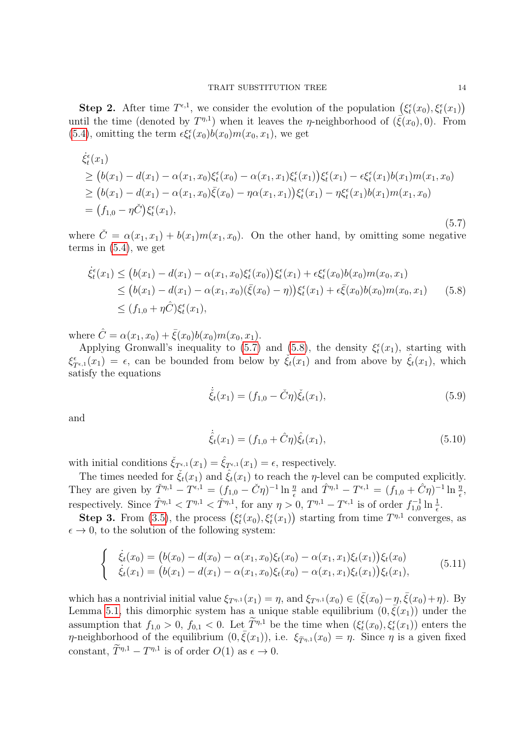**Step 2.** After time  $T^{\epsilon,1}$ , we consider the evolution of the population  $(\xi_t^{\epsilon}(x_0), \xi_t^{\epsilon}(x_1))$ until the time (denoted by  $T^{\eta,1}$ ) when it leaves the *η*-neighborhood of  $(\bar{\xi}(x_0),0)$ . From [\(5.4\)](#page-12-1), omitting the term  $\epsilon \xi_t^{\epsilon}(x_0) b(x_0) m(x_0, x_1)$ , we get

<span id="page-13-0"></span>
$$
\dot{\xi}_{t}^{\epsilon}(x_{1})\n\geq (b(x_{1}) - d(x_{1}) - \alpha(x_{1}, x_{0})\xi_{t}^{\epsilon}(x_{0}) - \alpha(x_{1}, x_{1})\xi_{t}^{\epsilon}(x_{1}))\xi_{t}^{\epsilon}(x_{1}) - \epsilon\xi_{t}^{\epsilon}(x_{1})b(x_{1})m(x_{1}, x_{0})\n\geq (b(x_{1}) - d(x_{1}) - \alpha(x_{1}, x_{0})\bar{\xi}(x_{0}) - \eta\alpha(x_{1}, x_{1}))\xi_{t}^{\epsilon}(x_{1}) - \eta\xi_{t}^{\epsilon}(x_{1})b(x_{1})m(x_{1}, x_{0})\n= (f_{1,0} - \eta\check{C})\xi_{t}^{\epsilon}(x_{1}),
$$
\n(5.7)

where  $\check{C} = \alpha(x_1, x_1) + b(x_1)m(x_1, x_0)$ . On the other hand, by omitting some negative terms in [\(5.4\)](#page-12-1), we get

<span id="page-13-1"></span>
$$
\dot{\xi}_t^{\epsilon}(x_1) \le (b(x_1) - d(x_1) - \alpha(x_1, x_0)\xi_t^{\epsilon}(x_0))\xi_t^{\epsilon}(x_1) + \epsilon \xi_t^{\epsilon}(x_0)b(x_0)m(x_0, x_1) \n\le (b(x_1) - d(x_1) - \alpha(x_1, x_0)(\bar{\xi}(x_0) - \eta))\xi_t^{\epsilon}(x_1) + \epsilon \bar{\xi}(x_0)b(x_0)m(x_0, x_1) \qquad (5.8) \n\le (f_{1,0} + \eta \hat{C})\xi_t^{\epsilon}(x_1),
$$

where  $\hat{C} = \alpha(x_1, x_0) + \bar{\xi}(x_0)b(x_0)m(x_0, x_1)$ .

Applying Gronwall's inequality to [\(5.7\)](#page-13-0) and [\(5.8\)](#page-13-1), the density  $\xi_t^{\epsilon}(x_1)$ , starting with  $\xi_{T^{\epsilon,1}}^{\epsilon}(x_1) = \epsilon$ , can be bounded from below by  $\check{\xi}_t(x_1)$  and from above by  $\hat{\xi}_t(x_1)$ , which satisfy the equations

$$
\dot{\xi}_t(x_1) = (f_{1,0} - \check{C}\eta)\check{\xi}_t(x_1),\tag{5.9}
$$

and

$$
\dot{\hat{\xi}}_t(x_1) = (f_{1,0} + \hat{C}\eta)\hat{\xi}_t(x_1),\tag{5.10}
$$

with initial conditions  $\check{\xi}_{T^{\epsilon,1}}(x_1) = \hat{\xi}_{T^{\epsilon,1}}(x_1) = \epsilon$ , respectively.

The times needed for  $\check{\xi}_t(x_1)$  and  $\hat{\xi}_t(x_1)$  to reach the *η*-level can be computed explicitly. They are given by  $\check{T}^{n,1} - T^{\epsilon,1} = (f_{1,0} - \check{C}\eta)^{-1} \ln \frac{\eta}{\epsilon}$  and  $\hat{T}^{n,1} - T^{\epsilon,1} = (f_{1,0} + \hat{C}\eta)^{-1} \ln \frac{\eta}{\epsilon}$ , respectively. Since  $\hat{T}^{\eta,1} < T^{\eta,1} < \check{T}^{\eta,1}$ , for any  $\eta > 0$ ,  $T^{\eta,1} - T^{\epsilon,1}$  is of order  $f_{1,0}^{-1} \ln \frac{1}{\epsilon}$ .

**Step 3.** From [\(3.5\)](#page-5-0), the process  $(\xi_t^{\epsilon}(x_0), \xi_t^{\epsilon}(x_1))$  starting from time  $T^{\eta,1}$  converges, as  $\epsilon \to 0$ , to the solution of the following system:

$$
\begin{cases}\n\dot{\xi}_t(x_0) = (b(x_0) - d(x_0) - \alpha(x_1, x_0)\xi_t(x_0) - \alpha(x_1, x_1)\xi_t(x_1))\xi_t(x_0) \\
\dot{\xi}_t(x_1) = (b(x_1) - d(x_1) - \alpha(x_1, x_0)\xi_t(x_0) - \alpha(x_1, x_1)\xi_t(x_1))\xi_t(x_1),\n\end{cases}
$$
\n(5.11)

which has a nontrivial initial value  $\xi_{T^{n,1}}(x_1) = \eta$ , and  $\xi_{T^{n,1}}(x_0) \in (\bar{\xi}(x_0) - \eta, \bar{\xi}(x_0) + \eta)$ . By Lemma [5.1,](#page-11-3) this dimorphic system has a unique stable equilibrium  $(0, \bar{\xi}(x_1))$  under the assumption that  $f_{1,0} > 0$ ,  $f_{0,1} < 0$ . Let  $T^{\eta,1}$  be the time when  $(\xi_t^{\epsilon}(x_0), \xi_t^{\epsilon}(x_1))$  enters the  $\eta$ -neighborhood of the equilibrium  $(0, \bar{\xi}(x_1))$ , i.e.  $\xi_{\tilde{T}^{\eta,1}}(x_0) = \eta$ . Since  $\eta$  is a given fixed constant,  $\tilde{T}^{\eta,1} - T^{\eta,1}$  is of order  $O(1)$  as  $\epsilon \to 0$ .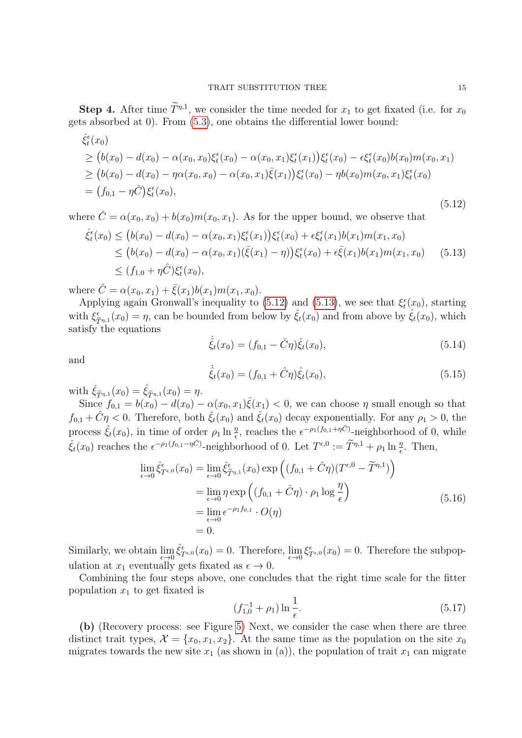**Step 4.** After time  $T^{\eta,1}$ , we consider the time needed for  $x_1$  to get fixated (i.e. for  $x_0$ gets absorbed at 0). From [\(5.3\)](#page-12-2), one obtains the differential lower bound:

<span id="page-14-0"></span>
$$
\dot{\xi}_{t}^{\epsilon}(x_{0})\n\geq (b(x_{0}) - d(x_{0}) - \alpha(x_{0}, x_{0})\xi_{t}^{\epsilon}(x_{0}) - \alpha(x_{0}, x_{1})\xi_{t}^{\epsilon}(x_{1}))\xi_{t}^{\epsilon}(x_{0}) - \epsilon\xi_{t}^{\epsilon}(x_{0})b(x_{0})m(x_{0}, x_{1})\n\geq (b(x_{0}) - d(x_{0}) - \eta\alpha(x_{0}, x_{0}) - \alpha(x_{0}, x_{1})\bar{\xi}(x_{1}))\xi_{t}^{\epsilon}(x_{0}) - \eta b(x_{0})m(x_{0}, x_{1})\xi_{t}^{\epsilon}(x_{0})\n= (f_{0,1} - \eta\check{C})\xi_{t}^{\epsilon}(x_{0}),
$$
\n(5.12)

where  $\check{C} = \alpha(x_0, x_0) + b(x_0)m(x_0, x_1)$ . As for the upper bound, we observe that

<span id="page-14-1"></span>
$$
\dot{\xi}_t^{\epsilon}(x_0) \le (b(x_0) - d(x_0) - \alpha(x_0, x_1)\xi_t^{\epsilon}(x_1))\xi_t^{\epsilon}(x_0) + \epsilon \xi_t^{\epsilon}(x_1)b(x_1)m(x_1, x_0) \n\le (b(x_0) - d(x_0) - \alpha(x_0, x_1)(\bar{\xi}(x_1) - \eta))\xi_t^{\epsilon}(x_0) + \epsilon \bar{\xi}(x_1)b(x_1)m(x_1, x_0)
$$
(5.13)  
\n
$$
\le (f_{1,0} + \eta \hat{C})\xi_t^{\epsilon}(x_0),
$$

where  $\hat{C} = \alpha(x_0, x_1) + \bar{\xi}(x_1)b(x_1)m(x_1, x_0).$ 

Applying again Gronwall's inequality to [\(5.12\)](#page-14-0) and [\(5.13\)](#page-14-1), we see that  $\xi_t^{\epsilon}(x_0)$ , starting with  $\xi_{\hat{\tau}}^{\epsilon}$  $\tilde{\tilde{\tau}}_{\eta,1}(x_0) = \eta$ , can be bounded from below by  $\tilde{\xi}_t(x_0)$  and from above by  $\hat{\xi}_t(x_0)$ , which satisfy the equations

<span id="page-14-2"></span>
$$
\dot{\tilde{\xi}}_t(x_0) = (f_{0,1} - \tilde{C}\eta)\tilde{\xi}_t(x_0),
$$
\n(5.14)

and

<span id="page-14-3"></span>
$$
\dot{\hat{\xi}}_t(x_0) = (f_{0,1} + \hat{C}\eta)\hat{\xi}_t(x_0),
$$
\n(5.15)

with  $\check{\xi}_{\widetilde{T}^{\eta,1}}(x_0) = \hat{\xi}_{\widetilde{T}^{\eta,1}}(x_0) = \eta.$ 

Since  $f_{0,1} = b(x_0) - d(x_0) - \alpha(x_0, x_1) \bar{\xi}(x_1) < 0$ , we can choose  $\eta$  small enough so that  $f_{0,1} + \hat{C}\eta < 0$ . Therefore, both  $\check{\xi}_t(x_0)$  and  $\hat{\xi}_t(x_0)$  decay exponentially. For any  $\rho_1 > 0$ , the process  $\hat{\xi}_t(x_0)$ , in time of order  $\rho_1 \ln \frac{\eta}{\epsilon}$ , reaches the  $\epsilon^{-\rho_1(f_{0,1}+\eta\hat{C})}$ -neighborhood of 0, while  $\check{\xi}_t(x_0)$  reaches the  $\epsilon^{-\rho_1(f_{0,1}-\eta\check{C})}$ -neighborhood of 0. Let  $T^{\epsilon,0} := \widetilde{T}^{\eta,1} + \rho_1 \ln \frac{\eta}{\epsilon}$ . Then,

$$
\lim_{\epsilon \to 0} \hat{\xi}_{T^{\epsilon,0}}^{\epsilon}(x_0) = \lim_{\epsilon \to 0} \hat{\xi}_{\tilde{T}^{\eta,1}}^{\epsilon}(x_0) \exp\left((f_{0,1} + \hat{C}\eta)(T^{\epsilon,0} - \tilde{T}^{\eta,1})\right)
$$
\n
$$
= \lim_{\epsilon \to 0} \eta \exp\left((f_{0,1} + \hat{C}\eta) \cdot \rho_1 \log \frac{\eta}{\epsilon}\right)
$$
\n
$$
= \lim_{\epsilon \to 0} \epsilon^{-\rho_1 f_{0,1}} \cdot O(\eta)
$$
\n
$$
= 0.
$$
\n(5.16)

Similarly, we obtain  $\lim_{\epsilon \to 0} \check{\xi}_{T^{\epsilon,0}}^{\epsilon}(x_0) = 0$ . Therefore,  $\lim_{\epsilon \to 0} \xi_{T^{\epsilon,0}}^{\epsilon}(x_0) = 0$ . Therefore the subpopulation at  $x_1$  eventually gets fixated as  $\epsilon \to 0$ .

Combining the four steps above, one concludes that the right time scale for the fitter population  $x_1$  to get fixated is

$$
(f_{1,0}^{-1} + \rho_1) \ln \frac{1}{\epsilon}.\tag{5.17}
$$

(b) (Recovery process: see Figure [5\)](#page-15-0) Next, we consider the case when there are three distinct trait types,  $\mathcal{X} = \{x_0, x_1, x_2\}$ . At the same time as the population on the site  $x_0$ migrates towards the new site  $x_1$  (as shown in (a)), the population of trait  $x_1$  can migrate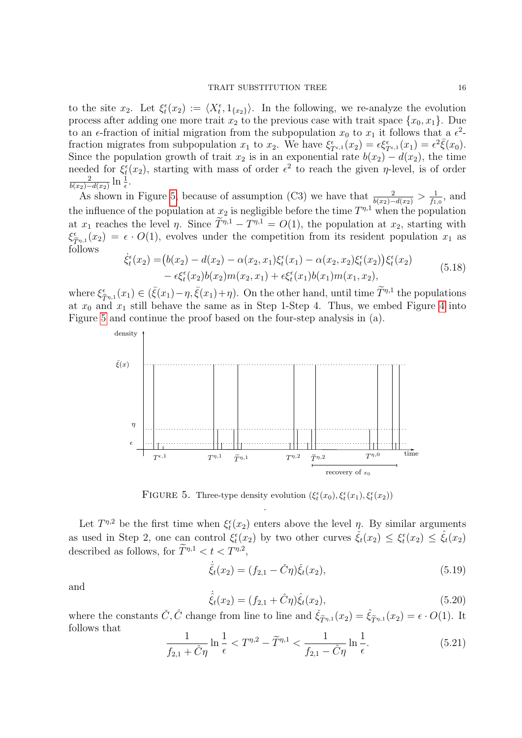to the site  $x_2$ . Let  $\xi_t^{\epsilon}(x_2) := \langle X_t^{\epsilon}, 1_{\{x_2\}} \rangle$ . In the following, we re-analyze the evolution process after adding one more trait  $x_2$  to the previous case with trait space  $\{x_0, x_1\}$ . Due to an  $\epsilon$ -fraction of initial migration from the subpopulation  $x_0$  to  $x_1$  it follows that a  $\epsilon^2$ fraction migrates from subpopulation  $x_1$  to  $x_2$ . We have  $\xi_{T^{\epsilon,1}}^{\epsilon}(x_2) = \epsilon \xi_{T^{\epsilon,1}}^{\epsilon}(x_1) = \epsilon^2 \overline{\xi}(x_0)$ . Since the population growth of trait  $x_2$  is in an exponential rate  $b(x_2) - d(x_2)$ , the time needed for  $\xi_t^{\epsilon}(x_2)$ , starting with mass of order  $\epsilon^2$  to reach the given  $\eta$ -level, is of order 2  $\frac{2}{b(x_2)-d(x_2)}\ln\frac{1}{\epsilon}.$ 

As shown in Figure [5,](#page-15-0) because of assumption (C3) we have that  $\frac{2}{b(x_2)-d(x_2)} > \frac{1}{f_1}$  $\frac{1}{f_{1,0}},$  and the influence of the population at  $x_2$  is negligible before the time  $T^{\eta,1}$  when the population at  $x_1$  reaches the level  $\eta$ . Since  $T^{\eta,1} - T^{\eta,1} = O(1)$ , the population at  $x_2$ , starting with  $\xi_{\hat{\sigma}}^{\epsilon}$  $\tilde{T}_{T_{n,1}}(x_2) = \epsilon \cdot O(1)$ , evolves under the competition from its resident population  $x_1$  as follows

$$
\dot{\xi}_{t}^{\epsilon}(x_{2}) = (b(x_{2}) - d(x_{2}) - \alpha(x_{2}, x_{1})\xi_{t}^{\epsilon}(x_{1}) - \alpha(x_{2}, x_{2})\xi_{t}^{\epsilon}(x_{2}))\xi_{t}^{\epsilon}(x_{2}) \n- \epsilon\xi_{t}^{\epsilon}(x_{2})b(x_{2})m(x_{2}, x_{1}) + \epsilon\xi_{t}^{\epsilon}(x_{1})b(x_{1})m(x_{1}, x_{2}),
$$
\n(5.18)

where  $\xi_{\tilde{T}^{\eta,1}}^{\epsilon}(x_1) \in (\bar{\xi}(x_1) - \eta, \bar{\xi}(x_1) + \eta)$ . On the other hand, until time  $\tilde{T}^{\eta,1}$  the populations at  $x_0$  and  $x_1$  still behave the same as in Step 1-Step [4](#page-12-0). Thus, we embed Figure 4 into Figure [5](#page-15-0) and continue the proof based on the four-step analysis in (a).



<span id="page-15-0"></span>FIGURE 5. Three-type density evolution  $(\xi_t^{\epsilon}(x_0), \xi_t^{\epsilon}(x_1), \xi_t^{\epsilon}(x_2))$ .

Let  $T^{\eta,2}$  be the first time when  $\xi_t^{\epsilon}(x_2)$  enters above the level  $\eta$ . By similar arguments as used in Step 2, one can control  $\xi_t^{\epsilon}(x_2)$  by two other curves  $\check{\xi}_t(x_2) \leq \xi_t^{\epsilon}(x_2) \leq \hat{\xi}_t(x_2)$ described as follows, for  $\tilde{T}^{\eta,1} < t < T^{\eta,2}$ ,

$$
\dot{\check{\xi}}_t(x_2) = (f_{2,1} - \check{C}\eta)\check{\xi}_t(x_2),\tag{5.19}
$$

and

$$
\dot{\hat{\xi}}_t(x_2) = (f_{2,1} + \hat{C}\eta)\hat{\xi}_t(x_2),\tag{5.20}
$$

where the constants  $\check{C}, \hat{C}$  change from line to line and  $\check{\xi}_{\widetilde{T}^{\eta,1}}(x_2) = \hat{\xi}_{\widetilde{T}^{\eta,1}}(x_2) = \epsilon \cdot O(1)$ . It follows that

<span id="page-15-1"></span>
$$
\frac{1}{f_{2,1} + \tilde{C}\eta} \ln \frac{1}{\epsilon} < T^{\eta,2} - \tilde{T}^{\eta,1} < \frac{1}{f_{2,1} - \tilde{C}\eta} \ln \frac{1}{\epsilon}.\tag{5.21}
$$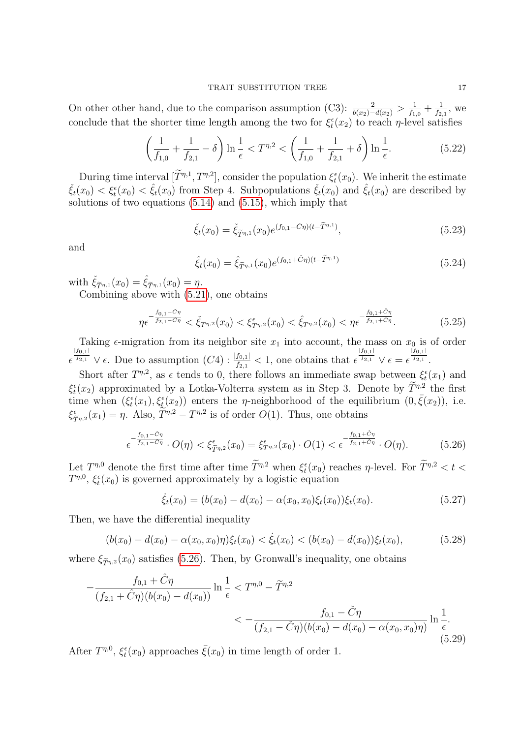On other other hand, due to the comparison assumption (C3):  $\frac{2}{b(x_2)-d(x_2)} > \frac{1}{f_1}$  $\frac{1}{f_{1,0}} + \frac{1}{f_2}$  $\frac{1}{f_{2,1}}$ , we conclude that the shorter time length among the two for  $\xi_t^{\epsilon}(x_2)$  to reach  $\eta$ -level satisfies

$$
\left(\frac{1}{f_{1,0}} + \frac{1}{f_{2,1}} - \delta\right) \ln \frac{1}{\epsilon} < T^{\eta,2} < \left(\frac{1}{f_{1,0}} + \frac{1}{f_{2,1}} + \delta\right) \ln \frac{1}{\epsilon}.\tag{5.22}
$$

During time interval  $[T^{n,1}, T^{n,2}]$ , consider the population  $\xi_t^{\epsilon}(x_0)$ . We inherit the estimate  $\check{\xi}_t(x_0) < \xi_t(x_0) < \hat{\xi}_t(x_0)$  from Step 4. Subpopulations  $\check{\xi}_t(x_0)$  and  $\hat{\xi}_t(x_0)$  are described by solutions of two equations [\(5.14\)](#page-14-2) and [\(5.15\)](#page-14-3), which imply that

$$
\check{\xi}_t(x_0) = \check{\xi}_{\widetilde{T}^{\eta,1}}(x_0) e^{(f_{0,1} - \check{C}\eta)(t - \widetilde{T}^{\eta,1})},\tag{5.23}
$$

and

$$
\hat{\xi}_t(x_0) = \hat{\xi}_{\tilde{T}^{\eta,1}}(x_0) e^{(f_{0,1} + \tilde{C}\eta)(t - \tilde{T}^{\eta,1})}
$$
\n(5.24)

with  $\check{\xi}_{\widetilde{T}\eta,1}(x_0) = \hat{\xi}_{\widetilde{T}\eta,1}(x_0) = \eta.$ 

Combining above with [\(5.21\)](#page-15-1), one obtains

$$
\eta \epsilon^{-\frac{f_{0,1} - \tilde{C}\eta}{f_{2,1} - \tilde{C}\eta}} < \tilde{\xi}_{T^{\eta,2}}(x_0) < \xi_{T^{\eta,2}}^{\epsilon}(x_0) < \hat{\xi}_{T^{\eta,2}}(x_0) < \eta \epsilon^{-\frac{f_{0,1} + \tilde{C}\eta}{f_{2,1} + \tilde{C}\eta}}.
$$
\n(5.25)

Taking  $\epsilon$ -migration from its neighbor site  $x_1$  into account, the mass on  $x_0$  is of order  $\epsilon$  $\frac{|f_{0,1}|}{f_{2,1}} \vee \epsilon$ . Due to assumption  $(C4)$ :  $\frac{|f_{0,1}|}{f_{2,1}} < 1$ , one obtains that  $\epsilon$  $|f_{0,1}|$  $\overline{f_{2,1}}$   $\vee$   $\epsilon = \epsilon$  $|f_{0,1}|$  $\frac{f_{2,1}}{f_{2,1}}$ .

Short after  $T^{\eta,2}$ , as  $\epsilon$  tends to 0, there follows an immediate swap between  $\xi_t^{\epsilon}(x_1)$  and  $\xi_t^{\epsilon}(x_2)$  approximated by a Lotka-Volterra system as in Step 3. Denote by  $\overline{T}^{n,2}$  the first time when  $(\xi_t^{\epsilon}(x_1), \xi_t^{\epsilon}(x_2))$  enters the *η*-neighborhood of the equilibrium  $(0, \bar{\xi}(x_2))$ , i.e.  $\xi_{\hat{\sigma}}^{\epsilon}$  $\sum_{\tilde{T}^{n,2}}^{\epsilon}(x_1) = \eta$ . Also,  $\tilde{T}^{n,2} - T^{n,2}$  is of order  $O(1)$ . Thus, one obtains

<span id="page-16-0"></span>
$$
\epsilon^{-\frac{f_{0,1}-\tilde{C}\eta}{f_{2,1}-\tilde{C}\eta}} \cdot O(\eta) < \xi^{\epsilon}_{\tilde{T}^{\eta,2}}(x_0) = \xi^{\epsilon}_{T^{\eta,2}}(x_0) \cdot O(1) < \epsilon^{-\frac{f_{0,1}+\tilde{C}\eta}{f_{2,1}+\tilde{C}\eta}} \cdot O(\eta). \tag{5.26}
$$

Let  $T^{\eta,0}$  denote the first time after time  $\widetilde{T}^{\eta,2}$  when  $\xi_t^{\epsilon}(x_0)$  reaches  $\eta$ -level. For  $\widetilde{T}^{\eta,2} < t <$  $T^{\eta,0}, \xi_t^{\epsilon}(x_0)$  is governed approximately by a logistic equation

$$
\dot{\xi}_t(x_0) = (b(x_0) - d(x_0) - \alpha(x_0, x_0)\xi_t(x_0))\xi_t(x_0).
$$
\n(5.27)

Then, we have the differential inequality

$$
(b(x_0) - d(x_0) - \alpha(x_0, x_0)\eta)\xi_t(x_0) < \dot{\xi}_t(x_0) < (b(x_0) - d(x_0))\xi_t(x_0),\tag{5.28}
$$

where  $\xi_{\widetilde{T}^{n,2}}(x_0)$  satisfies [\(5.26\)](#page-16-0). Then, by Gronwall's inequality, one obtains

<span id="page-16-1"></span>
$$
-\frac{f_{0,1} + \hat{C}\eta}{(f_{2,1} + \hat{C}\eta)(b(x_0) - d(x_0))} \ln \frac{1}{\epsilon} < T^{\eta,0} - \tilde{T}^{\eta,2}
$$
  

$$
< -\frac{f_{0,1} - \tilde{C}\eta}{(f_{2,1} - \tilde{C}\eta)(b(x_0) - d(x_0) - \alpha(x_0, x_0)\eta)} \ln \frac{1}{\epsilon}.
$$
(5.29)

After  $T^{\eta,0}$ ,  $\xi_t^{\epsilon}(x_0)$  approaches  $\bar{\xi}(x_0)$  in time length of order 1.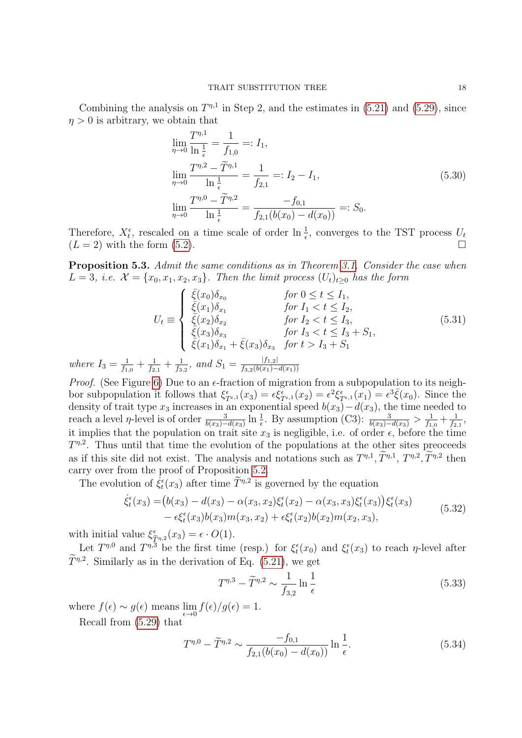Combining the analysis on  $T^{\eta,1}$  in Step 2, and the estimates in [\(5.21\)](#page-15-1) and [\(5.29\)](#page-16-1), since  $\eta > 0$  is arbitrary, we obtain that

<span id="page-17-3"></span>
$$
\lim_{\eta \to 0} \frac{T^{\eta,1}}{\ln \frac{1}{\epsilon}} = \frac{1}{f_{1,0}} =: I_1,
$$
\n
$$
\lim_{\eta \to 0} \frac{T^{\eta,2} - \tilde{T}^{\eta,1}}{\ln \frac{1}{\epsilon}} = \frac{1}{f_{2,1}} =: I_2 - I_1,
$$
\n
$$
\lim_{\eta \to 0} \frac{T^{\eta,0} - \tilde{T}^{\eta,2}}{\ln \frac{1}{\epsilon}} = \frac{-f_{0,1}}{f_{2,1}(b(x_0) - d(x_0))} =: S_0.
$$
\n(5.30)

Therefore,  $X_t^{\epsilon}$ , rescaled on a time scale of order  $\ln \frac{1}{\epsilon}$ , converges to the TST process  $U_t$  $(L = 2)$  with the form  $(5.2)$ .

<span id="page-17-0"></span>Proposition 5.3. Admit the same conditions as in Theorem [3.1.](#page-6-1) Consider the case when L = 3, i.e.  $\mathcal{X} = \{x_0, x_1, x_2, x_3\}$ . Then the limit process  $(U_t)_{t\geq0}$  has the form

$$
U_{t} \equiv \begin{cases} \bar{\xi}(x_{0})\delta_{x_{0}} & \text{for } 0 \leq t \leq I_{1}, \\ \bar{\xi}(x_{1})\delta_{x_{1}} & \text{for } I_{1} < t \leq I_{2}, \\ \bar{\xi}(x_{2})\delta_{x_{2}} & \text{for } I_{2} < t \leq I_{3}, \\ \bar{\xi}(x_{3})\delta_{x_{3}} & \text{for } I_{3} < t \leq I_{3} + S_{1}, \\ \bar{\xi}(x_{1})\delta_{x_{1}} + \bar{\xi}(x_{3})\delta_{x_{3}} & \text{for } t > I_{3} + S_{1} \end{cases}
$$
(5.31)

where  $I_3 = \frac{1}{f_1}$  $\frac{1}{f_{1,0}} + \frac{1}{f_2}$  $\frac{1}{f_{2,1}}+\frac{1}{f_{3,1}}$  $\frac{1}{f_{3,2}}$ , and  $S_1 = \frac{|f_{1,2}|}{f_{3,2}(b(x_1)-1)}$  $f_{3,2}(b(x_1)-d(x_1))$ 

*Proof.* (See Figure [6\)](#page-18-0) Due to an  $\epsilon$ -fraction of migration from a subpopulation to its neighbor subpopulation it follows that  $\xi_{T^{\epsilon,1}}^{\epsilon}(x_3) = \epsilon \xi_{T^{\epsilon,1}}^{\epsilon}(x_2) = \epsilon^2 \xi_{T^{\epsilon,1}}^{\epsilon}(x_1) = \epsilon^3 \overline{\xi}(x_0)$ . Since the density of trait type  $x_3$  increases in an exponential speed  $b(x_3)-d(x_3)$ , the time needed to reach a level  $\eta$ -level is of order  $\frac{3}{b(x_3)-d(x_3)}\ln\frac{1}{\epsilon}$ . By assumption (C3):  $\frac{3}{b(x_3)-d(x_3)} > \frac{1}{f_1}$  $\frac{1}{f_{1,0}} + \frac{1}{f_2}$  $\frac{1}{f_{2,1}},$ it implies that the population on trait site  $x_3$  is negligible, i.e. of order  $\epsilon$ , before the time  $T^{\eta,2}$ . Thus until that time the evolution of the populations at the other sites preoceeds as if this site did not exist. The analysis and notations such as  $T^{\eta,1}, \tilde{T}^{\eta,1}, T^{\eta,2}, \tilde{T}^{\eta,2}$  then carry over from the proof of Proposition [5.2.](#page-11-0)

The evolution of  $\dot{\xi}_t^{\epsilon}(x_3)$  after time  $\widetilde{T}^{\eta,2}$  is governed by the equation

$$
\dot{\xi}_t^{\epsilon}(x_3) = (b(x_3) - d(x_3) - \alpha(x_3, x_2)\xi_t^{\epsilon}(x_2) - \alpha(x_3, x_3)\xi_t^{\epsilon}(x_3))\xi_t^{\epsilon}(x_3) \n- \epsilon\xi_t^{\epsilon}(x_3)b(x_3)m(x_3, x_2) + \epsilon\xi_t^{\epsilon}(x_2)b(x_2)m(x_2, x_3),
$$
\n(5.32)

with initial value  $\xi^{\epsilon}_{\hat{a}}$  $\tilde{\tilde{T}}_{\eta,2}(\tilde{x}_3) = \epsilon \cdot O(1).$ 

Let  $T^{\eta,0}$  and  $T^{\eta,3}$  be the first time (resp.) for  $\xi_t^{\epsilon}(x_0)$  and  $\xi_t^{\epsilon}(x_3)$  to reach  $\eta$ -level after  $T^{\eta,2}$ . Similarly as in the derivation of Eq. [\(5.21\)](#page-15-1), we get

<span id="page-17-2"></span>
$$
T^{\eta,3} - \tilde{T}^{\eta,2} \sim \frac{1}{f_{3,2}} \ln \frac{1}{\epsilon}
$$
 (5.33)

where  $f(\epsilon) \sim g(\epsilon)$  means  $\lim_{\epsilon \to 0} f(\epsilon)/g(\epsilon) = 1$ .

Recall from [\(5.29\)](#page-16-1) that

<span id="page-17-1"></span>
$$
T^{\eta,0} - \widetilde{T}^{\eta,2} \sim \frac{-f_{0,1}}{f_{2,1}(b(x_0) - d(x_0))} \ln \frac{1}{\epsilon}.
$$
 (5.34)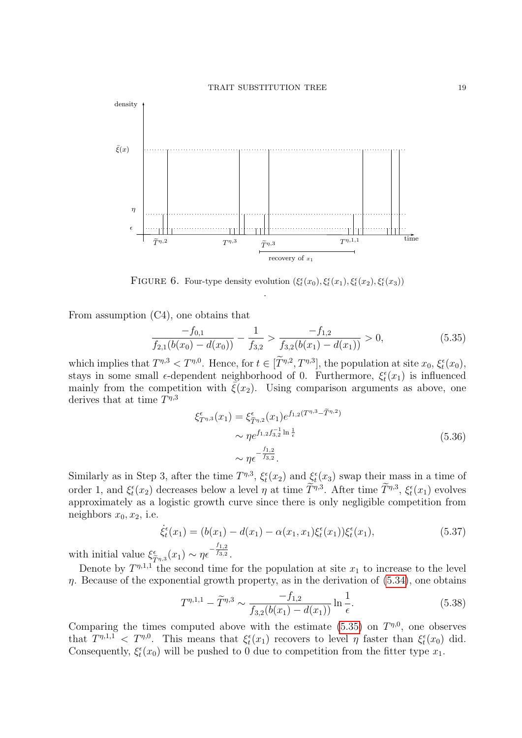

<span id="page-18-0"></span>FIGURE 6. Four-type density evolution  $(\xi_t^{\epsilon}(x_0), \xi_t^{\epsilon}(x_1), \xi_t^{\epsilon}(x_2), \xi_t^{\epsilon}(x_3))$ .

From assumption (C4), one obtains that

<span id="page-18-1"></span>
$$
\frac{-f_{0,1}}{f_{2,1}(b(x_0) - d(x_0))} - \frac{1}{f_{3,2}} > \frac{-f_{1,2}}{f_{3,2}(b(x_1) - d(x_1))} > 0,\tag{5.35}
$$

which implies that  $T^{\eta,3} < T^{\eta,0}$ . Hence, for  $t \in [T^{\eta,2}, T^{\eta,3}]$ , the population at site  $x_0, \xi_t^{\epsilon}(x_0)$ , stays in some small  $\epsilon$ -dependent neighborhood of 0. Furthermore,  $\xi_t^{\epsilon}(x_1)$  is influenced mainly from the competition with  $\bar{\xi}(x_2)$ . Using comparison arguments as above, one derives that at time  $T^{\eta,3}$ 

$$
\xi_{T^{\eta,3}}^{\epsilon}(x_1) = \xi_{\tilde{T}^{\eta,2}}^{\epsilon}(x_1) e^{f_{1,2}(T^{\eta,3} - \tilde{T}^{\eta,2})}
$$
  
 
$$
\sim \eta e^{f_{1,2} f_{3,2}^{-1} \ln \frac{1}{\epsilon}}
$$
  
 
$$
\sim \eta \epsilon^{-\frac{f_{1,2}}{f_{3,2}}}.
$$
 (5.36)

Similarly as in Step 3, after the time  $T^{\eta,3}$ ,  $\xi_t^{\epsilon}(x_2)$  and  $\xi_t^{\epsilon}(x_3)$  swap their mass in a time of order 1, and  $\xi_t^{\epsilon}(x_2)$  decreases below a level  $\eta$  at time  $T^{\eta,3}$ . After time  $T^{\eta,3}$ ,  $\xi_t^{\epsilon}(x_1)$  evolves approximately as a logistic growth curve since there is only negligible competition from neighbors  $x_0, x_2$ , i.e.

$$
\dot{\xi}_t^{\epsilon}(x_1) = (b(x_1) - d(x_1) - \alpha(x_1, x_1)\xi_t^{\epsilon}(x_1))\xi_t^{\epsilon}(x_1),
$$
\n(5.37)

with initial value  $\xi_{\hat{a}}^{\epsilon}$  $\tilde{\tau}_{\eta,3}(x_1) \sim \eta \epsilon^{-\frac{f_{1,2}}{f_{3,2}}}$  $\overline{f_{3,2}}$ .

Denote by  $T^{\eta,1,1}$  the second time for the population at site  $x_1$  to increase to the level  $\eta$ . Because of the exponential growth property, as in the derivation of  $(5.34)$ , one obtains

<span id="page-18-2"></span>
$$
T^{\eta,1,1} - \tilde{T}^{\eta,3} \sim \frac{-f_{1,2}}{f_{3,2}(b(x_1) - d(x_1))} \ln \frac{1}{\epsilon}.
$$
 (5.38)

Comparing the times computed above with the estimate  $(5.35)$  on  $T^{\eta,0}$ , one observes that  $T^{\eta,1,1} < T^{\eta,0}$ . This means that  $\xi_t^{\epsilon}(x_1)$  recovers to level  $\eta$  faster than  $\xi_t^{\epsilon}(x_0)$  did. Consequently,  $\xi_t^{\epsilon}(x_0)$  will be pushed to 0 due to competition from the fitter type  $x_1$ .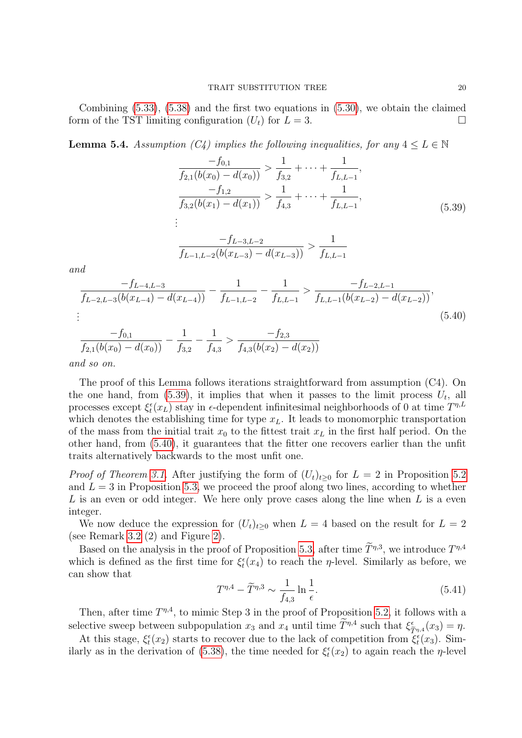Combining [\(5.33\)](#page-17-2), [\(5.38\)](#page-18-2) and the first two equations in [\(5.30\)](#page-17-3), we obtain the claimed form of the TST limiting configuration  $(U_t)$  for  $L = 3$ .

<span id="page-19-0"></span>**Lemma 5.4.** Assumption (C4) implies the following inequalities, for any  $4 \leq L \in \mathbb{N}$ 

<span id="page-19-1"></span>
$$
\frac{-f_{0,1}}{f_{2,1}(b(x_0) - d(x_0))} > \frac{1}{f_{3,2}} + \dots + \frac{1}{f_{L,L-1}},
$$
\n
$$
\frac{-f_{1,2}}{f_{3,2}(b(x_1) - d(x_1))} > \frac{1}{f_{4,3}} + \dots + \frac{1}{f_{L,L-1}},
$$
\n
$$
\vdots
$$
\n
$$
\frac{-f_{L-3,L-2}}{f_{L-1,L-2}(b(x_{L-3}) - d(x_{L-3}))} > \frac{1}{f_{L,L-1}}
$$
\n
$$
\frac{-f_{L-4,L-3}}{b(x_{L-4}) - d(x_{L-4})} - \frac{1}{f_{L-1,L-2}} - \frac{1}{f_{L,L-1}} > \frac{-f_{L-2,L-1}}{f_{L,L-1}(b(x_{L-2}) - d(x_{L-2}))},
$$
\n(5.39)

<span id="page-19-2"></span>
$$
\frac{1}{2}
$$

and

$$
\frac{-f_{0,1}}{f_{2,1}(b(x_0) - d(x_0))} - \frac{1}{f_{3,2}} - \frac{1}{f_{4,3}} > \frac{-f_{2,3}}{f_{4,3}(b(x_2) - d(x_2))}
$$

and so on.

 $\frac{f_{L-2,L-3}(b)}{h_{L-2,L-3}(b)}$ 

The proof of this Lemma follows iterations straightforward from assumption (C4). On the one hand, from  $(5.39)$ , it implies that when it passes to the limit process  $U_t$ , all processes except  $\xi_t^{\epsilon}(x_L)$  stay in  $\epsilon$ -dependent infinitesimal neighborhoods of 0 at time  $T^{\eta,L}$ which denotes the establishing time for type  $x<sub>L</sub>$ . It leads to monomorphic transportation of the mass from the initial trait  $x_0$  to the fittest trait  $x_L$  in the first half period. On the other hand, from [\(5.40\)](#page-19-2), it guarantees that the fitter one recovers earlier than the unfit traits alternatively backwards to the most unfit one.

*Proof of Theorem [3.1.](#page-6-1)* After justifying the form of  $(U_t)_{t>0}$  for  $L = 2$  in Proposition [5.2](#page-11-0) and  $L = 3$  in Proposition [5.3,](#page-17-0) we proceed the proof along two lines, according to whether L is an even or odd integer. We here only prove cases along the line when  $L$  is a even integer.

We now deduce the expression for  $(U_t)_{t>0}$  when  $L = 4$  based on the result for  $L = 2$ (see Remark [3.2](#page-6-2) (2) and Figure [2\)](#page-7-1).

Based on the analysis in the proof of Proposition [5.3,](#page-17-0) after time  $\tilde{T}^{\eta,3}$ , we introduce  $T^{\eta,4}$ which is defined as the first time for  $\xi_t^{\epsilon}(x_4)$  to reach the *η*-level. Similarly as before, we can show that

$$
T^{\eta,4} - \widetilde{T}^{\eta,3} \sim \frac{1}{f_{4,3}} \ln \frac{1}{\epsilon}.\tag{5.41}
$$

Then, after time  $T^{\eta,4}$ , to mimic Step 3 in the proof of Proposition [5.2,](#page-11-0) it follows with a selective sweep between subpopulation  $x_3$  and  $x_4$  until time  $T^{\eta,4}$  such that  $\xi_{\widetilde{T}^{\eta,4}}^{\epsilon}(x_3) = \eta$ .

At this stage,  $\xi_t^{\epsilon}(x_2)$  starts to recover due to the lack of competition from  $\xi_t^{\epsilon}(x_3)$ . Sim-ilarly as in the derivation of [\(5.38\)](#page-18-2), the time needed for  $\xi_t^{\epsilon}(x_2)$  to again reach the *η*-level

(5.40)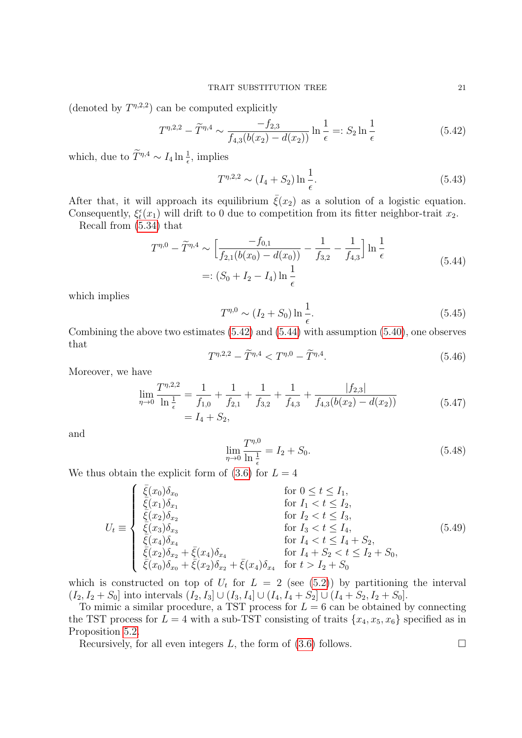(denoted by  $T^{\eta,2,2}$ ) can be computed explicitly

<span id="page-20-0"></span>
$$
T^{\eta,2,2} - \tilde{T}^{\eta,4} \sim \frac{-f_{2,3}}{f_{4,3}(b(x_2) - d(x_2))} \ln \frac{1}{\epsilon} =: S_2 \ln \frac{1}{\epsilon}
$$
 (5.42)

which, due to  $\widetilde{T}^{\eta,4} \sim I_4 \ln \frac{1}{\epsilon}$ , implies

$$
T^{\eta,2,2} \sim (I_4 + S_2) \ln \frac{1}{\epsilon}.
$$
\n(5.43)

After that, it will approach its equilibrium  $\bar{\xi}(x_2)$  as a solution of a logistic equation. Consequently,  $\xi_t^{\epsilon}(x_1)$  will drift to 0 due to competition from its fitter neighbor-trait  $x_2$ .

Recall from [\(5.34\)](#page-17-1) that

<span id="page-20-1"></span>
$$
T^{\eta,0} - \widetilde{T}^{\eta,4} \sim \left[ \frac{-f_{0,1}}{f_{2,1}(b(x_0) - d(x_0))} - \frac{1}{f_{3,2}} - \frac{1}{f_{4,3}} \right] \ln \frac{1}{\epsilon}
$$
  
 
$$
=: (S_0 + I_2 - I_4) \ln \frac{1}{\epsilon}
$$
 (5.44)

which implies

$$
T^{\eta,0} \sim (I_2 + S_0) \ln \frac{1}{\epsilon}.
$$
\n(5.45)

Combining the above two estimates [\(5.42\)](#page-20-0) and [\(5.44\)](#page-20-1) with assumption [\(5.40\)](#page-19-2), one observes that

$$
T^{\eta,2,2} - \tilde{T}^{\eta,4} < T^{\eta,0} - \tilde{T}^{\eta,4}.\tag{5.46}
$$

Moreover, we have

$$
\lim_{\eta \to 0} \frac{T^{\eta,2,2}}{\ln \frac{1}{\epsilon}} = \frac{1}{f_{1,0}} + \frac{1}{f_{2,1}} + \frac{1}{f_{3,2}} + \frac{1}{f_{4,3}} + \frac{|f_{2,3}|}{f_{4,3}(b(x_2) - d(x_2))} = I_4 + S_2,
$$
\n(5.47)

and

$$
\lim_{\eta \to 0} \frac{T^{\eta,0}}{\ln \frac{1}{\epsilon}} = I_2 + S_0. \tag{5.48}
$$

We thus obtain the explicit form of  $(3.6)$  for  $L = 4$ 

$$
U_{t} \equiv \begin{cases} \frac{\bar{\xi}(x_{0})\delta_{x_{0}}}{\bar{\xi}(x_{1})\delta_{x_{1}}} & \text{for } 0 \leq t \leq I_{1}, \\ \frac{\bar{\xi}(x_{1})\delta_{x_{1}}}{\bar{\xi}(x_{2})\delta_{x_{2}}} & \text{for } I_{1} < t \leq I_{2}, \\ \frac{\bar{\xi}(x_{2})\delta_{x_{2}}}{\bar{\xi}(x_{3})\delta_{x_{3}}} & \text{for } I_{3} < t \leq I_{4}, \\ \frac{\bar{\xi}(x_{4})\delta_{x_{4}}}{\bar{\xi}(x_{2})\delta_{x_{2}} + \bar{\xi}(x_{4})\delta_{x_{4}}} & \text{for } I_{4} + S_{2} < t \leq I_{2} + S_{0}, \\ \frac{\bar{\xi}(x_{0})\delta_{x_{0}} + \bar{\xi}(x_{2})\delta_{x_{2}} + \bar{\xi}(x_{4})\delta_{x_{4}} & \text{for } t > I_{2} + S_{0} \end{cases}
$$
\n
$$
(5.49)
$$

which is constructed on top of  $U_t$  for  $L = 2$  (see [\(5.2\)](#page-11-4)) by partitioning the interval  $(I_2, I_2 + S_0]$  into intervals  $(I_2, I_3] \cup (I_3, I_4] \cup (I_4, I_4 + S_2] \cup (I_4 + S_2, I_2 + S_0].$ 

To mimic a similar procedure, a TST process for  $L = 6$  can be obtained by connecting the TST process for  $L = 4$  with a sub-TST consisting of traits  $\{x_4, x_5, x_6\}$  specified as in Proposition [5.2.](#page-11-0)

Recursively, for all even integers  $L$ , the form of  $(3.6)$  follows.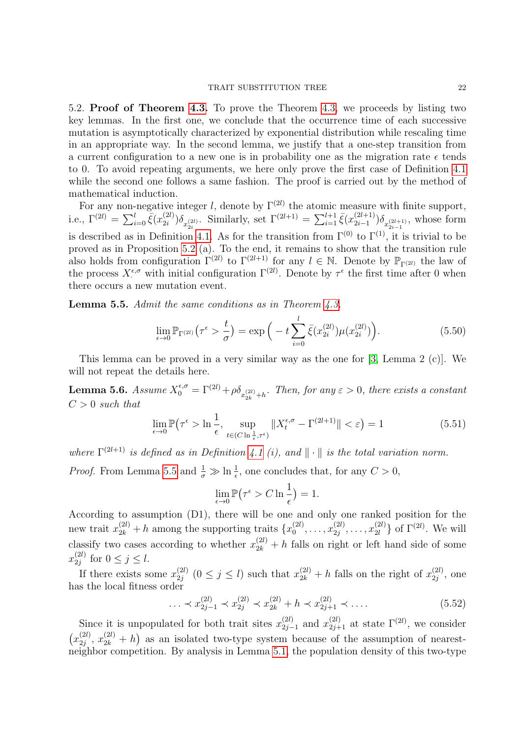#### TRAIT SUBSTITUTION TREE 22

<span id="page-21-0"></span>5.2. Proof of Theorem [4.3.](#page-10-2) To prove the Theorem [4.3,](#page-10-2) we proceeds by listing two key lemmas. In the first one, we conclude that the occurrence time of each successive mutation is asymptotically characterized by exponential distribution while rescaling time in an appropriate way. In the second lemma, we justify that a one-step transition from a current configuration to a new one is in probability one as the migration rate  $\epsilon$  tends to 0. To avoid repeating arguments, we here only prove the first case of Definition [4.1](#page-9-0) while the second one follows a same fashion. The proof is carried out by the method of mathematical induction.

For any non-negative integer l, denote by  $\Gamma^{(2l)}$  the atomic measure with finite support, i.e.,  $\Gamma^{(2l)} = \sum_{i=0}^{l} \bar{\xi}(x_{2i}^{(2l)})$  $(2i)$ ) $\delta_{x_{2i}^{(2l)}}$ . Similarly, set  $\Gamma^{(2l+1)} = \sum_{i=1}^{l+1} \bar{\xi}(x_{2i-1}^{(2l+1)})$  $\sum_{i=1}^{(2l+1)} \delta_{x_{2i-1}^{(2l+1)}},$  whose form is described as in Definition [4.1.](#page-9-0) As for the transition from  $\Gamma^{(0)}$  to  $\Gamma^{(1)}$ , it is trivial to be proved as in Proposition [5.2](#page-11-0) (a). To the end, it remains to show that the transition rule also holds from configuration  $\Gamma^{(2l)}$  to  $\Gamma^{(2l+1)}$  for any  $l \in \mathbb{N}$ . Denote by  $\mathbb{P}_{\Gamma^{(2l)}}$  the law of the process  $X_{\cdot}^{\epsilon,\sigma}$  with initial configuration  $\Gamma^{(2l)}$ . Denote by  $\tau^{\epsilon}$  the first time after 0 when there occurs a new mutation event.

<span id="page-21-1"></span>**Lemma 5.5.** Admit the same conditions as in Theorem  $\angle 4.3$ .

$$
\lim_{\epsilon \to 0} \mathbb{P}_{\Gamma^{(2l)}}(\tau^{\epsilon} > \frac{t}{\sigma}) = \exp\left(-t \sum_{i=0}^{l} \bar{\xi}(x_{2i}^{(2l)}) \mu(x_{2i}^{(2l)})\right). \tag{5.50}
$$

This lemma can be proved in a very similar way as the one for [\[3,](#page-27-1) Lemma 2 (c)]. We will not repeat the details here.

<span id="page-21-2"></span>**Lemma 5.6.** Assume  $X_0^{\epsilon,\sigma} = \Gamma^{(2l)} + \rho \delta_{x_{2k}^{(2l)}+h}$ . Then, for any  $\epsilon > 0$ , there exists a constant  $C > 0$  such that

$$
\lim_{\epsilon \to 0} \mathbb{P}\left(\tau^{\epsilon} > \ln\frac{1}{\epsilon}, \sup_{t \in (C \ln\frac{1}{\epsilon}, \tau^{\epsilon})} \|X_t^{\epsilon, \sigma} - \Gamma^{(2l+1)}\| < \varepsilon\right) = 1\tag{5.51}
$$

where  $\Gamma^{(2l+1)}$  is defined as in Definition [4.1](#page-9-0) (i), and  $\|\cdot\|$  is the total variation norm.

*Proof.* From Lemma [5.5](#page-21-1) and  $\frac{1}{\sigma} \gg \ln \frac{1}{\epsilon}$ , one concludes that, for any  $C > 0$ ,

$$
\lim_{\epsilon \to 0} \mathbb{P}(\tau^{\epsilon} > C \ln \frac{1}{\epsilon}) = 1.
$$

According to assumption (D1), there will be one and only one ranked position for the new trait  $x_{2k}^{(2l)} + h$  among the supporting traits  $\{x_0^{(2l)}\}$  $x_0^{(2l)}, \ldots, x_{2j}^{(2l)}$  $x_{2j}^{(2l)}, \ldots, x_{2l}^{(2l)}$  $\{2l \atop 2l \}$  of  $\Gamma^{(2l)}$ . We will classify two cases according to whether  $x_{2k}^{(2l)}$  + h falls on right or left hand side of some  $x_{2i}^{(2l)}$  $\sum_{2j}^{(2l)}$  for  $0 \leq j \leq l$ .

If there exists some  $x_{2i}^{(2l)}$  $\chi_{2j}^{(2l)}$   $(0 \leq j \leq l)$  such that  $x_{2k}^{(2l)} + h$  falls on the right of  $x_{2j}^{(2l)}$  $\mathbf{q}_j^{(2i)}$ , one has the local fitness order

$$
\ldots \prec x_{2j-1}^{(2l)} \prec x_{2j}^{(2l)} \prec x_{2k}^{(2l)} + h \prec x_{2j+1}^{(2l)} \prec \ldots \tag{5.52}
$$

Since it is unpopulated for both trait sites  $x_{2i}^{(2l)}$  $\chi_{2j-1}^{(2l)}$  and  $x_{2j+1}^{(2l)}$  at state  $\Gamma^{(2l)}$ , we consider  $(x_{2i}^{(2l)}$  $\langle 2l \rangle_{2j}, x_{2k}^{(2l)} + h$  as an isolated two-type system because of the assumption of nearestneighbor competition. By analysis in Lemma [5.1,](#page-11-3) the population density of this two-type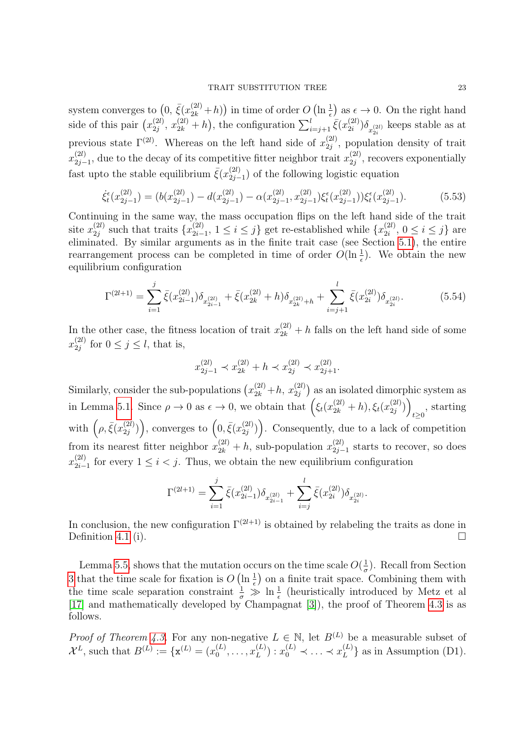system converges to  $(0, \bar{\xi}(x_{2k}^{(2l)}+h))$  in time of order  $O(\ln \frac{1}{\epsilon})$  as  $\epsilon \to 0$ . On the right hand side of this pair  $(x_{2i}^{(2l)})$  $x_{2i}^{(2l)}, x_{2k}^{(2l)} + h$ , the configuration  $\sum_{i=j+1}^{l} \bar{\xi}(x_{2i}^{(2l)})$  $\binom{2i}{2i} \delta_{x_{2i}^{(2l)}}$  keeps stable as at previous state  $\Gamma^{(2l)}$ . Whereas on the left hand side of  $x_{2i}^{(2l)}$  $\binom{2i}{2j}$ , population density of trait  $x_{2i-}^{(2l)}$  $\chi_{2j-1}^{(2l)}$ , due to the decay of its competitive fitter neighbor trait  $x_{2j}^{(2l)}$  $\frac{2}{2j}$ , recovers exponentially fast upto the stable equilibrium  $\bar{\xi}(x_{2i}^{(2l)})$  $\binom{2i}{2j-1}$  of the following logistic equation

$$
\dot{\xi}_t^{\epsilon}(x_{2j-1}^{(2l)}) = (b(x_{2j-1}^{(2l)}) - d(x_{2j-1}^{(2l)}) - \alpha(x_{2j-1}^{(2l)}, x_{2j-1}^{(2l)})\xi_t^{\epsilon}(x_{2j-1}^{(2l)}))\xi_t^{\epsilon}(x_{2j-1}^{(2l)}).
$$
(5.53)

Continuing in the same way, the mass occupation flips on the left hand side of the trait site  $x_{2i}^{(2l)}$  $\chi_{2j}^{(2l)}$  such that traits  $\{x_{2i}^{(2l)}\}$  $\{x_{2i-1}^{(2l)}, 1 \le i \le j\}$  get re-established while  $\{x_{2i}^{(2l)}\}$  $2_i^{(2i)}$ ,  $0 \le i \le j$  are eliminated. By similar arguments as in the finite trait case (see Section [5.1\)](#page-10-1), the entire rearrangement process can be completed in time of order  $O(\ln \frac{1}{\epsilon})$ . We obtain the new equilibrium configuration

$$
\Gamma^{(2l+1)} = \sum_{i=1}^{j} \bar{\xi}(x_{2i-1}^{(2l)}) \delta_{x_{2i-1}^{(2l)}} + \bar{\xi}(x_{2k}^{(2l)} + h) \delta_{x_{2k}^{(2l)}+h} + \sum_{i=j+1}^{l} \bar{\xi}(x_{2i}^{(2l)}) \delta_{x_{2i}^{(2l)}}.
$$
(5.54)

In the other case, the fitness location of trait  $x_{2k}^{(2l)} + h$  falls on the left hand side of some  $x_{2i}^{(2l)}$  $\sum_{2j}^{(2l)}$  for  $0 \leq j \leq l$ , that is,

$$
x_{2j-1}^{(2l)} \prec x_{2k}^{(2l)} + h \prec x_{2j}^{(2l)} \prec x_{2j+1}^{(2l)}.
$$

Similarly, consider the sub-populations  $(x_{2k}^{(2l)}+h, x_{2j}^{(2l)})$  as an isolated dimorphic system as in Lemma [5.1.](#page-11-3) Since  $\rho \to 0$  as  $\epsilon \to 0$ , we obtain that  $\left(\xi_t(x_{2k}^{(2l)} + h), \xi_t(x_{2j}^{(2l)})\right)$  $\binom{(2l)}{2j}$  $t \geq 0$ , starting with  $(\rho, \bar{\xi}(x_{2i}^{(2l)})$  $\binom{(2l)}{2j}$ , converges to  $\left(0,\bar{\xi}(x_{2j}^{(2l)})\right)$  $\binom{(2l)}{2j}$ . Consequently, due to a lack of competition from its nearest fitter neighbor  $x_{2k}^{(2l)} + h$ , sub-population  $x_{2j-1}^{(2l)}$  $\frac{2i}{2j-1}$  starts to recover, so does  $x_{2i-}^{(2l)}$  $\frac{2i}{2i-1}$  for every  $1 \leq i < j$ . Thus, we obtain the new equilibrium configuration

$$
\Gamma^{(2l+1)} = \sum_{i=1}^{j} \bar{\xi}(x_{2i-1}^{(2l)}) \delta_{x_{2i-1}^{(2l)}} + \sum_{i=j}^{l} \bar{\xi}(x_{2i}^{(2l)}) \delta_{x_{2i}^{(2l)}}.
$$

In conclusion, the new configuration  $\Gamma^{(2l+1)}$  is obtained by relabeling the traits as done in Definition [4.1](#page-9-0) (i).

Lemma [5.5,](#page-21-1) shows that the mutation occurs on the time scale  $O(\frac{1}{a})$  $\frac{1}{\sigma}$ ). Recall from Section [3](#page-4-0) that the time scale for fixation is  $O(\ln \frac{1}{\epsilon})$  on a finite trait space. Combining them with the time scale separation constraint  $\frac{1}{\sigma} \gg \ln \frac{1}{\epsilon}$  (heuristically introduced by Metz et al [\[17\]](#page-27-15) and mathematically developed by Champagnat [\[3\]](#page-27-1)), the proof of Theorem [4.3](#page-10-2) is as follows.

*Proof of Theorem [4.3.](#page-10-2)* For any non-negative  $L \in \mathbb{N}$ , let  $B^{(L)}$  be a measurable subset of  $\mathcal{X}^{L}$ , such that  $B^{(L)} := \{ \mathbf{x}^{(L)} = (x_0^{(L)} \)$  $x_0^{(L)}, \ldots, x_L^{(L)}$  $L_L^{(L)}$  :  $x_0^{(L)} \prec \ldots \prec x_L^{(L)}$  $_{L}^{(L)}$ } as in Assumption (D1).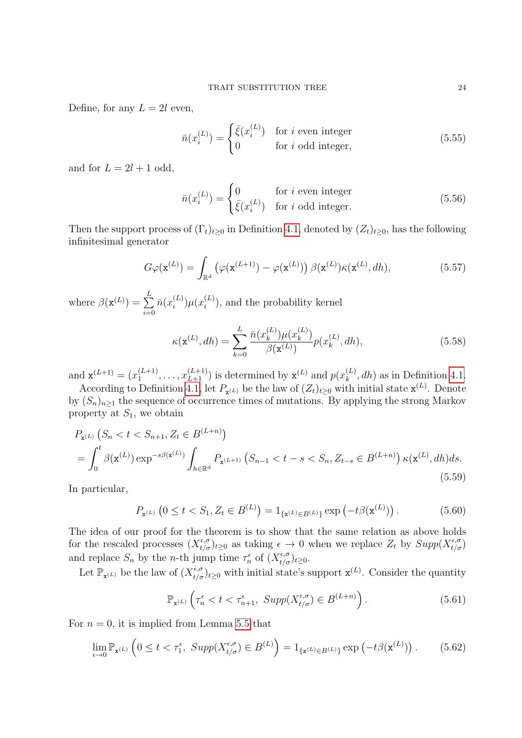Define, for any  $L = 2l$  even,

<span id="page-23-0"></span>
$$
\bar{n}(x_i^{(L)}) = \begin{cases} \bar{\xi}(x_i^{(L)}) & \text{for } i \text{ even integer} \\ 0 & \text{for } i \text{ odd integer}, \end{cases}
$$
\n(5.55)

and for  $L = 2l + 1$  odd,

<span id="page-23-1"></span>
$$
\bar{n}(x_i^{(L)}) = \begin{cases}\n0 & \text{for } i \text{ even integer} \\
\bar{\xi}(x_i^{(L)}) & \text{for } i \text{ odd integer.} \n\end{cases}
$$
\n(5.56)

Then the support process of  $(\Gamma_t)_{t\geq0}$  in Definition [4.1,](#page-9-0) denoted by  $(Z_t)_{t\geq0}$ , has the following infinitesimal generator

$$
G\varphi(\mathbf{x}^{(L)}) = \int_{\mathbb{R}^d} \left( \varphi(\mathbf{x}^{(L+1)}) - \varphi(\mathbf{x}^{(L)}) \right) \beta(\mathbf{x}^{(L)}) \kappa(\mathbf{x}^{(L)}, dh), \tag{5.57}
$$

where  $\beta(\mathbf{x}^{(L)}) = \sum_{l=1}^{L}$  $i=0$  $\bar{n}(x_i^{(L)}$  $\mu^{(L)}_{i})\mu(x_{i}^{(L)}$  $\binom{L}{i}$ , and the probability kernel

<span id="page-23-3"></span>
$$
\kappa(\mathbf{x}^{(L)}, dh) = \sum_{k=0}^{L} \frac{\bar{n}(x_k^{(L)}) \mu(x_k^{(L)})}{\beta(\mathbf{x}^{(L)})} p(x_k^{(L)}, dh), \tag{5.58}
$$

and  $\mathbf{x}^{(L+1)} = (x_1^{(L+1)})$  $\binom{(L+1)}{1}, \ldots, \binom{(L+1)}{L+1}$  is determined by  $\mathbf{x}^{(L)}$  and  $p(x_k^{(L)})$  $_k^{(L)}$ , dh) as in Definition [4.1.](#page-9-0)

According to Definition [4.1,](#page-9-0) let  $P_{\mathbf{x}^{(L)}}$  be the law of  $(Z_t)_{t\geq0}$  with initial state  $\mathbf{x}^{(L)}$ . Denote by  $(S_n)_{n\geq 1}$  the sequence of occurrence times of mutations. By applying the strong Markov property at  $S_1$ , we obtain

<span id="page-23-5"></span>
$$
P_{\mathbf{x}^{(L)}}\left(S_n < t < S_{n+1}, Z_t \in B^{(L+n)}\right)
$$
\n
$$
= \int_0^t \beta(\mathbf{x}^{(L)}) \exp^{-s\beta(\mathbf{x}^{(L)})} \int_{h \in \mathbb{R}^d} P_{\mathbf{x}^{(L+1)}}\left(S_{n-1} < t - s < S_n, Z_{t-s} \in B^{(L+n)}\right) \kappa(\mathbf{x}^{(L)}, dh) ds. \tag{5.59}
$$

In particular,

<span id="page-23-4"></span>
$$
P_{\mathbf{x}^{(L)}}\left(0 \le t < S_1, Z_t \in B^{(L)}\right) = 1_{\{\mathbf{x}^{(L)} \in B^{(L)}\}} \exp\left(-t\beta(\mathbf{x}^{(L)})\right). \tag{5.60}
$$

The idea of our proof for the theorem is to show that the same relation as above holds for the rescaled processes  $(X_{t/\sigma}^{\epsilon,\sigma})_{t\geq0}$  as taking  $\epsilon\to0$  when we replace  $Z_t$  by  $Supp(X_{t/\sigma}^{\epsilon,\sigma})$ and replace  $S_n$  by the *n*-th jump time  $\tau_n^{\epsilon}$  of  $(X_{t/\sigma}^{\epsilon,\sigma})_{t\geq 0}$ .

Let  $\mathbb{P}_{\mathbf{x}^{(L)}}$  be the law of  $(X^{\epsilon,\sigma}_{t/\sigma})_{t\geq 0}$  with initial state's support  $\mathbf{x}^{(L)}$ . Consider the quantity

$$
\mathbb{P}_{\mathbf{x}^{(L)}}\left(\tau_n^{\epsilon} < t < \tau_{n+1}^{\epsilon}, \, \operatorname{Supp}(X_{t/\sigma}^{\epsilon,\sigma}) \in B^{(L+n)}\right). \tag{5.61}
$$

For  $n = 0$ , it is implied from Lemma [5.5](#page-21-1) that

<span id="page-23-2"></span>
$$
\lim_{\epsilon \to 0} \mathbb{P}_{\mathbf{x}^{(L)}} \left( 0 \le t < \tau_1^{\epsilon}, \ Supp(X_{t/\sigma}^{\epsilon,\sigma}) \in B^{(L)} \right) = 1_{\{\mathbf{x}^{(L)} \in B^{(L)}\}} \exp\left( -t\beta(\mathbf{x}^{(L)}) \right). \tag{5.62}
$$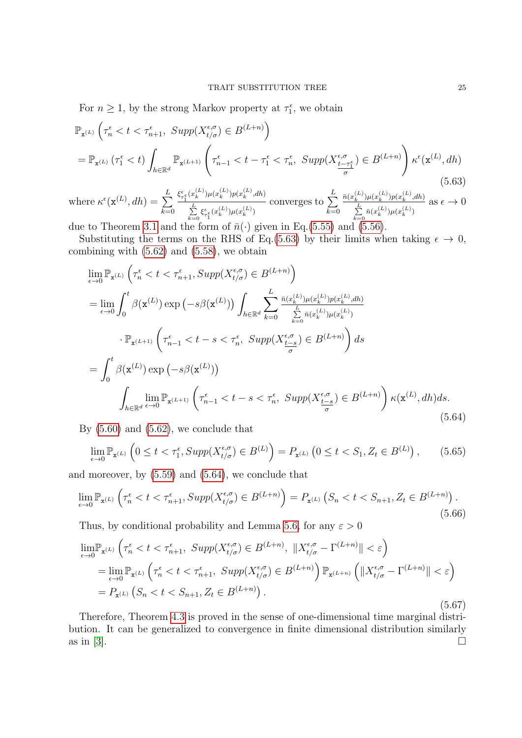For  $n \geq 1$ , by the strong Markov property at  $\tau_1^{\epsilon}$ , we obtain

<span id="page-24-0"></span>
$$
\mathbb{P}_{\mathbf{x}^{(L)}}\left(\tau_n^{\epsilon} < t < \tau_{n+1}^{\epsilon}, \ \operatorname{Supp}(X_{t/\sigma}^{\epsilon,\sigma}) \in B^{(L+n)}\right) \\
= \mathbb{P}_{\mathbf{x}^{(L)}}\left(\tau_1^{\epsilon} < t\right) \int_{h \in \mathbb{R}^d} \mathbb{P}_{\mathbf{x}^{(L+1)}}\left(\tau_{n-1}^{\epsilon} < t - \tau_1^{\epsilon} < \tau_n^{\epsilon}, \ \operatorname{Supp}(X_{\frac{t-\tau_1^{\epsilon}}{\sigma}}^{\epsilon}) \in B^{(L+n)}\right) \kappa^{\epsilon}(\mathbf{x}^{(L)}, dh) \\
\tag{5.63}
$$

where  $\kappa^{\epsilon}(\mathbf{x}^{(L)}, dh) = \sum_{L}^{L}$  $k=0$  $\xi_{\tau_1^{\epsilon}}^{\epsilon}(x_k^{(L)})\mu(x_k^{(L)})p(x_k^{(L)},dh)$  $\sum\limits_{k=0}^{L} \xi_{\tau_1^\epsilon}^\epsilon(x_k^{(L)}) \mu(x_k^{(L)})$ converges to  $\sum^L$  $k=0$  $\bar{n}(x_k^{(L)})\mu(x_k^{(L)})p(x_k^{(L)},dh)$  $\sum_{k=0}^{L} \bar{n}(x_k^{(L)}) \mu(x_k^{(L)})$ as  $\epsilon \to 0$ 

due to Theorem [3.1](#page-6-1) and the form of  $\bar{n}(\cdot)$  given in Eq.[\(5.55\)](#page-23-0) and [\(5.56\)](#page-23-1).

Substituting the terms on the RHS of Eq.[\(5.63\)](#page-24-0) by their limits when taking  $\epsilon \to 0$ , combining with  $(5.62)$  and  $(5.58)$ , we obtain

<span id="page-24-1"></span>
$$
\lim_{\epsilon \to 0} \mathbb{P}_{\mathbf{x}^{(L)}} \left( \tau_n^{\epsilon} < t < \tau_{n+1}^{\epsilon}, \text{Supp}(X_{t/\sigma}^{\epsilon,\sigma}) \in B^{(L+n)} \right)
$$
\n
$$
= \lim_{\epsilon \to 0} \int_0^t \beta(\mathbf{x}^{(L)}) \exp\left( -s\beta(\mathbf{x}^{(L)}) \right) \int_{h \in \mathbb{R}^d} \sum_{k=0}^L \frac{\bar{n}(x_k^{(L)}) \mu(x_k^{(L)}) p(x_k^{(L)}, dh)}{\sum_{k=0}^L \bar{n}(x_k^{(L)}) \mu(x_k^{(L)})}
$$
\n
$$
\cdot \mathbb{P}_{\mathbf{x}^{(L+1)}} \left( \tau_{n-1}^{\epsilon} < t - s < \tau_n^{\epsilon}, \text{Supp}(X_{\frac{t-s}{\sigma}}^{\epsilon,\sigma}) \in B^{(L+n)} \right) ds
$$
\n
$$
= \int_0^t \beta(\mathbf{x}^{(L)}) \exp\left( -s\beta(\mathbf{x}^{(L)}) \right)
$$
\n
$$
\int_{h \in \mathbb{R}^d} \lim_{\epsilon \to 0} \mathbb{P}_{\mathbf{x}^{(L+1)}} \left( \tau_{n-1}^{\epsilon} < t - s < \tau_n^{\epsilon}, \text{Supp}(X_{\frac{t-s}{\sigma}}^{\epsilon,\sigma}) \in B^{(L+n)} \right) \kappa(\mathbf{x}^{(L)}, dh) ds.
$$
\n
$$
(5.64)
$$

By  $(5.60)$  and  $(5.62)$ , we conclude that

$$
\lim_{\epsilon \to 0} \mathbb{P}_{\mathbf{x}^{(L)}} \left( 0 \le t < \tau_1^{\epsilon}, \text{Supp}(X_{t/\sigma}^{\epsilon,\sigma}) \in B^{(L)} \right) = P_{\mathbf{x}^{(L)}} \left( 0 \le t < S_1, Z_t \in B^{(L)} \right), \tag{5.65}
$$

and moreover, by [\(5.59\)](#page-23-5) and [\(5.64\)](#page-24-1), we conclude that

$$
\lim_{\epsilon \to 0} \mathbb{P}_{\mathbf{x}^{(L)}} \left( \tau_n^{\epsilon} < t < \tau_{n+1}^{\epsilon}, \operatorname{Supp}(X_{t/\sigma}^{\epsilon, \sigma}) \in B^{(L+n)} \right) = P_{\mathbf{x}^{(L)}} \left( S_n < t < S_{n+1}, Z_t \in B^{(L+n)} \right). \tag{5.66}
$$

Thus, by conditional probability and Lemma [5.6,](#page-21-2) for any  $\varepsilon > 0$ 

$$
\lim_{\epsilon \to 0} \mathbb{P}_{\mathbf{x}^{(L)}} \left( \tau_n^{\epsilon} < t < \tau_{n+1}^{\epsilon}, \ \operatorname{Supp}(X_{t/\sigma}^{\epsilon,\sigma}) \in B^{(L+n)}, \ \|X_{t/\sigma}^{\epsilon,\sigma} - \Gamma^{(L+n)}\| < \varepsilon \right)
$$
\n
$$
= \lim_{\epsilon \to 0} \mathbb{P}_{\mathbf{x}^{(L)}} \left( \tau_n^{\epsilon} < t < \tau_{n+1}^{\epsilon}, \ \operatorname{Supp}(X_{t/\sigma}^{\epsilon,\sigma}) \in B^{(L+n)} \right) \mathbb{P}_{\mathbf{x}^{(L+n)}} \left( \|X_{t/\sigma}^{\epsilon,\sigma} - \Gamma^{(L+n)}\| < \varepsilon \right)
$$
\n
$$
= P_{\mathbf{x}^{(L)}} \left( S_n < t < S_{n+1}, Z_t \in B^{(L+n)} \right). \tag{5.67}
$$

Therefore, Theorem [4.3](#page-10-2) is proved in the sense of one-dimensional time marginal distribution. It can be generalized to convergence in finite dimensional distribution similarly as in [\[3\]](#page-27-1).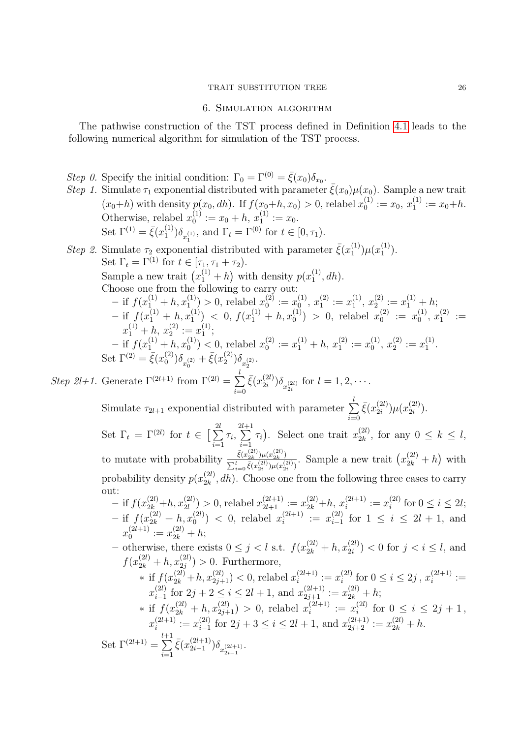#### TRAIT SUBSTITUTION TREE 26

### 6. Simulation algorithm

<span id="page-25-0"></span>The pathwise construction of the TST process defined in Definition [4.1](#page-9-0) leads to the following numerical algorithm for simulation of the TST process.

- Step 0. Specify the initial condition:  $\Gamma_0 = \Gamma^{(0)} = \bar{\xi}(x_0)\delta_{x_0}$ .
- Step 1. Simulate  $\tau_1$  exponential distributed with parameter  $\bar{\xi}(x_0)\mu(x_0)$ . Sample a new trait  $(x_0+h)$  with density  $p(x_0, dh)$ . If  $f(x_0+h, x_0) > 0$ , relabel  $x_0^{(1)}$  $y_0^{(1)} := x_0, x_1^{(1)}$  $x_1^{(1)} := x_0+h.$ Otherwise, relabel  $x_0^{(1)}$  $v_0^{(1)} := x_0 + h, x_1^{(1)} := x_0.$ Set  $\Gamma^{(1)} = \bar{\xi}(x_1^{(1)})$  $\binom{1}{1} \delta_{x_1^{(1)}},$  and  $\Gamma_t = \Gamma^{(0)}$  for  $t \in [0, \tau_1)$ .

Step 2. Simulate  $\tau_2$  exponential distributed with parameter  $\bar{\xi}(x_1^{(1)})$  $x_1^{(1)})\mu(x_1^{(1)}$  $\binom{1}{1}$ . Set  $\Gamma_t = \overline{\Gamma}^{(1)}$  for  $t \in [\tau_1, \tau_1 + \tau_2)$ . Sample a new trait  $(x_1^{(1)} + h)$  with density  $p(x_1^{(1)} + h)$  $j_1^{(1)}, dh$ . Choose one from the following to carry out:  $-$  if  $f(x_1^{(1)} + h, x_1^{(1)}) > 0$ , relabel  $x_0^{(2)}$  $y_0^{(2)} := x_0^{(1)}$  $\binom{1}{0},\,x_1^{(2)}$  $x_1^{(2)} := x_1^{(1)}$  $\binom{(1)}{1}, x_2^{(2)}$  $x_2^{(2)} := x_1^{(1)} + h;$  $-$  if  $f(x_1^{(1)} + h, x_1^{(1)})$   $\lt 0, f(x_1^{(1)} + h, x_0^{(1)}) > 0$ , relabel  $x_0^{(2)}$  $y_0^{(2)} := x_0^{(1)}$  $x_0^{(1)}, x_1^{(2)}$  $\binom{2}{1}$  :=  $x_1^{(1)} + h, x_2^{(2)} := x_1^{(1)}$  $\binom{1}{1}$ ;  $-$  if  $f(x_1^{(1)} + h, x_0^{(1)}) < 0$ , relabel  $x_0^{(2)}$  $y_0^{(2)} := x_1^{(1)} + h, x_1^{(2)} := x_0^{(1)}$  $\binom{1}{0},\,x_2^{(2)}$  $x_2^{(2)} := x_1^{(1)}$  $\frac{(1)}{1}$ . Set  $\Gamma^{(2)} = \bar{\xi}(x_0^{(2)})$  $\binom{2}{0}\delta_{x_0^{(2)}} + \bar{\xi}(x_2^{(2)})$  $\binom{2}{2}$  $\delta_{x_2^{(2)}}$ .

Step 2l+1. Generate  $\Gamma^{(2l+1)}$  from  $\Gamma^{(2l)} = \sum_{l=1}^{l}$  $i=0$  $\bar{\xi}(x_{2i}^{(2l)}$  $\sum_{i=2i}^{(2l)}\delta_{x_{2i}^{(2l)}}$  for  $l=1,2,\cdots$ .

 $\sum_{i=1}$ 

Simulate  $\tau_{2l+1}$  exponential distributed with parameter  $\sum_{l=1}^{l}$  $i=0$  $\bar{\xi}(x_{2i}^{(2l)}$  $_{2i}^{(2l)})\mu(x_{2i}^{(2l)}$  $\binom{(2i)}{2i}$ .

Set  $\Gamma_t = \Gamma^{(2l)}$  for  $t \in \left[\sum_{i=1}^{2l} \right]$  $i=1$   $i=1$  $\tau_i,$  $\sum_{ }^{2l+1}$  $\tau_i$ ). Select one trait  $x_{2k}^{(2l)}$  $\frac{1}{2k}$ , for any  $0 \leq k \leq l$ , to mutate with probability  $\frac{\bar{\xi}(x_{2k}^{(2l)})\mu(x_{2k}^{(2l)})}{\sum_{k} \sum_{i}^{(2l)}(2l)\chi_{i}}$  $\frac{\xi(x_{2k}^{(2k)})\mu(x_{2k}^{(2l)})}{\sum_{i=0}^l \bar{\xi}(x_{2i}^{(2l)})\mu(x_{2i}^{(2l)})}$ . Sample a new trait  $(x_{2k}^{(2l)}+h)$  with probability density  $p(x_{2k}^{(2l)})$  $\binom{2i}{2k}$ , dh). Choose one from the following three cases to carry out:

- if 
$$
f(x_{2k}^{(2l)}+h, x_{2l}^{(2l)}) > 0
$$
, relabel  $x_{2l+1}^{(2l+1)} := x_{2k}^{(2l)}+h, x_i^{(2l+1)} := x_i^{(2l)}$  for  $0 \le i \le 2l$ ;  
- if  $f(x_{2k}^{(2l)}+h, x_0^{(2l)}) < 0$ , relabel  $x_i^{(2l+1)} := x_{i-1}^{(2l)}$  for  $1 \le i \le 2l+1$ , and  $x_0^{(2l+1)} := x_{2k}^{(2l)}+h$ ;

- otherwise, there exists  $0 \leq j < l$  s.t.  $f(x_{2k}^{(2l)} + h, x_{2i}^{(2l)}) < 0$  for  $j < i \leq l$ , and  $f(x_{2k}^{(2l)}+h,x_{2j}^{(2l)})>0.$  Furthermore, \* if  $f(x_{2k}^{(2l)}+h, x_{2j+1}^{(2l)})$  < 0, relabel  $x_i^{(2l+1)}$  $i^{(2l+1)} := x_i^{(2l)}$  $i_i^{(2l)}$  for  $0 \le i \le 2j$ ,  $x_i^{(2l+1)}$  $i^{(2l+1)}:=$ 

$$
x_{i-1}^{(2l)} \text{ for } 2j+2 \le i \le 2l+1, \text{ and } x_{2j+1}^{(2l+1)} := x_{2k}^{(2l)} + h;
$$
  
\n
$$
* \text{ if } f(x_{2k}^{(2l)} + h, x_{2j+1}^{(2l)}) > 0, \text{ relabel } x_i^{(2l+1)} := x_i^{(2l)} \text{ for } 0 \le i \le 2j+1,
$$
  
\n
$$
x_i^{(2l+1)} := x_{i-1}^{(2l)} \text{ for } 2j+3 \le i \le 2l+1, \text{ and } x_{2j+2}^{(2l+1)} := x_{2k}^{(2l)} + h.
$$
  
\nSet  $\Gamma^{(2l+1)} = \sum_{i=1}^{l+1} \bar{\xi}(x_{2i-1}^{(2l+1)}) \delta_{x_{2i-1}^{(2l+1)}}.$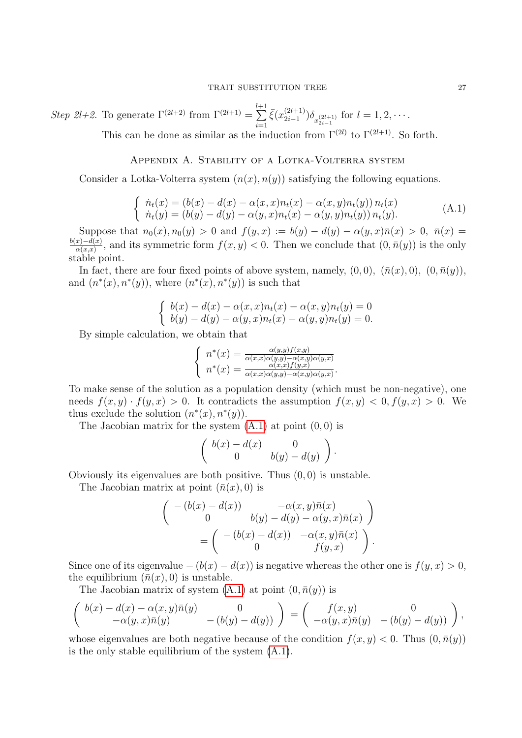Step 2l+2. To generate  $\Gamma^{(2l+2)}$  from  $\Gamma^{(2l+1)} = \sum_{l=1}^{l+1}$  $i=1$  $\bar{\xi}(x_{2i-1}^{(2l+1)}$  $\sum_{i=1}^{(2l+1)} \delta_{x_{2i-1}^{(2l+1)}}$  for  $l=1,2,\cdots$ .

This can be done as similar as the induction from  $\Gamma^{(2l)}$  to  $\Gamma^{(2l+1)}$ . So forth.

# Appendix A. Stability of a Lotka-Volterra system

<span id="page-26-0"></span>Consider a Lotka-Volterra system  $(n(x), n(y))$  satisfying the following equations.

<span id="page-26-1"></span>
$$
\begin{cases}\n\dot{n}_t(x) = (b(x) - d(x) - \alpha(x, x)n_t(x) - \alpha(x, y)n_t(y)) n_t(x) \\
\dot{n}_t(y) = (b(y) - d(y) - \alpha(y, x)n_t(x) - \alpha(y, y)n_t(y)) n_t(y).\n\end{cases} (A.1)
$$

Suppose that  $n_0(x), n_0(y) > 0$  and  $f(y, x) := b(y) - d(y) - \alpha(y, x)\bar{n}(x) > 0$ ,  $\bar{n}(x) =$  $b(x)-d(x)$  $\frac{x)-a(x)}{\alpha(x,x)}$ , and its symmetric form  $f(x,y) < 0$ . Then we conclude that  $(0,\bar{n}(y))$  is the only stable point.

In fact, there are four fixed points of above system, namely,  $(0,0)$ ,  $(\bar{n}(x), 0)$ ,  $(0, \bar{n}(y))$ , and  $(n^*(x), n^*(y))$ , where  $(n^*(x), n^*(y))$  is such that

$$
\begin{cases}\n b(x) - d(x) - \alpha(x, x)n_t(x) - \alpha(x, y)n_t(y) = 0 \\
 b(y) - d(y) - \alpha(y, x)n_t(x) - \alpha(y, y)n_t(y) = 0.\n\end{cases}
$$

By simple calculation, we obtain that

$$
\begin{cases}\n n^*(x) = \frac{\alpha(y,y)f(x,y)}{\alpha(x,x)\alpha(y,y)-\alpha(x,y)\alpha(y,x)} \\
 n^*(x) = \frac{\alpha(x,x)f(y,x)}{\alpha(x,x)\alpha(y,y)-\alpha(x,y)\alpha(y,x)}.\n\end{cases}
$$

To make sense of the solution as a population density (which must be non-negative), one needs  $f(x, y) \cdot f(y, x) > 0$ . It contradicts the assumption  $f(x, y) < 0, f(y, x) > 0$ . We thus exclude the solution  $(n^*(x), n^*(y))$ .

The Jacobian matrix for the system  $(A.1)$  at point  $(0, 0)$  is

$$
\left(\begin{array}{cc} b(x)-d(x) & 0 \\ 0 & b(y)-d(y) \end{array}\right).
$$

Obviously its eigenvalues are both positive. Thus  $(0, 0)$  is unstable.

The Jacobian matrix at point  $(\bar{n}(x), 0)$  is

$$
\begin{pmatrix}\n-(b(x) - d(x)) & -\alpha(x, y)\overline{n}(x) \\
0 & b(y) - d(y) - \alpha(y, x)\overline{n}(x)\n\end{pmatrix}
$$
\n
$$
= \begin{pmatrix}\n-(b(x) - d(x)) & -\alpha(x, y)\overline{n}(x) \\
0 & f(y, x)\n\end{pmatrix}.
$$

Since one of its eigenvalue  $-(b(x) - d(x))$  is negative whereas the other one is  $f(y, x) > 0$ , the equilibrium  $(\bar{n}(x), 0)$  is unstable.

The Jacobian matrix of system  $(A.1)$  at point  $(0, \bar{n}(y))$  is

$$
\left(\begin{array}{cc}b(x)-d(x)-\alpha(x,y)\bar{n}(y)&0\\-\alpha(y,x)\bar{n}(y)&-(b(y)-d(y))\end{array}\right)=\left(\begin{array}{cc}f(x,y)&0\\-\alpha(y,x)\bar{n}(y)&-(b(y)-d(y))\end{array}\right),
$$

whose eigenvalues are both negative because of the condition  $f(x, y) < 0$ . Thus  $(0, \bar{n}(y))$ is the only stable equilibrium of the system [\(A.1\)](#page-26-1).